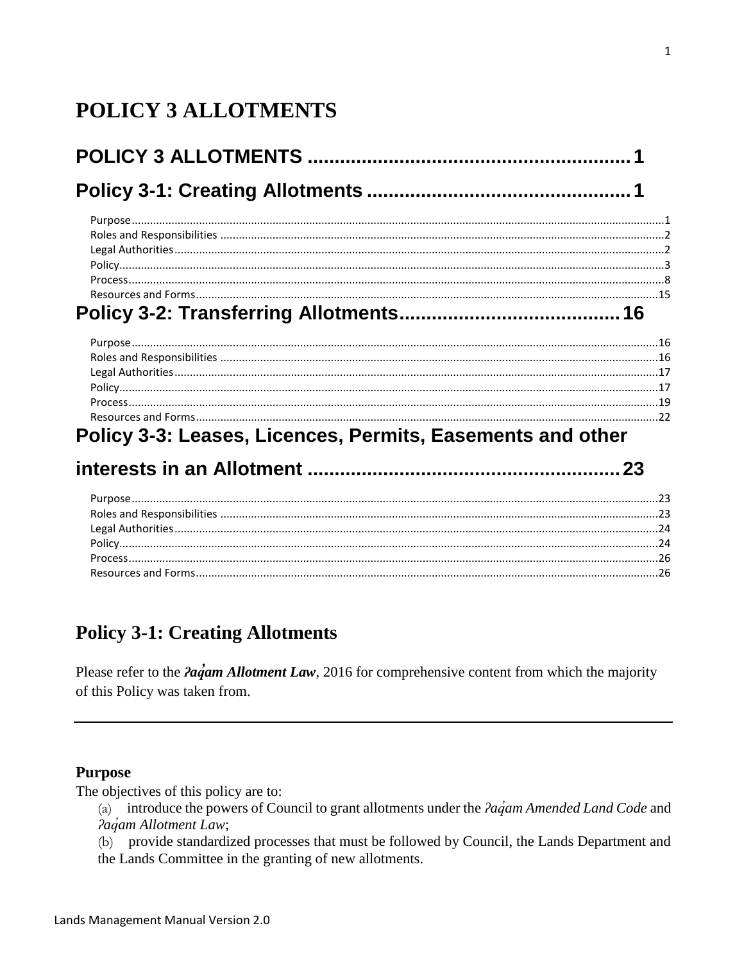# <span id="page-0-0"></span>**POLICY 3 ALLOTMENTS**

| $\mathbf{P}$ and $\mathbf{P}$ and $\mathbf{P}$ and $\mathbf{P}$ and $\mathbf{P}$ and $\mathbf{P}$ and $\mathbf{P}$ and $\mathbf{P}$ and $\mathbf{P}$ and $\mathbf{P}$ and $\mathbf{P}$ and $\mathbf{P}$ and $\mathbf{P}$ and $\mathbf{P}$ and $\mathbf{P}$ and $\mathbf{P}$ and $\mathbf{P}$ and |  |
|--------------------------------------------------------------------------------------------------------------------------------------------------------------------------------------------------------------------------------------------------------------------------------------------------|--|

# Policy 3-3: Leases, Licences, Permits, Easements and other

# 

## <span id="page-0-1"></span>**Policy 3-1: Creating Allotments**

Please refer to the *Paqam Allotment Law*, 2016 for comprehensive content from which the majority of this Policy was taken from.

## <span id="page-0-2"></span>**Purpose**

The objectives of this policy are to:

(a) introduce the powers of Council to grant allotments under the  $2a\acute{q}am$  Amended Land Code and Pagam Allotment Law;

(b) provide standardized processes that must be followed by Council, the Lands Department and the Lands Committee in the granting of new allotments.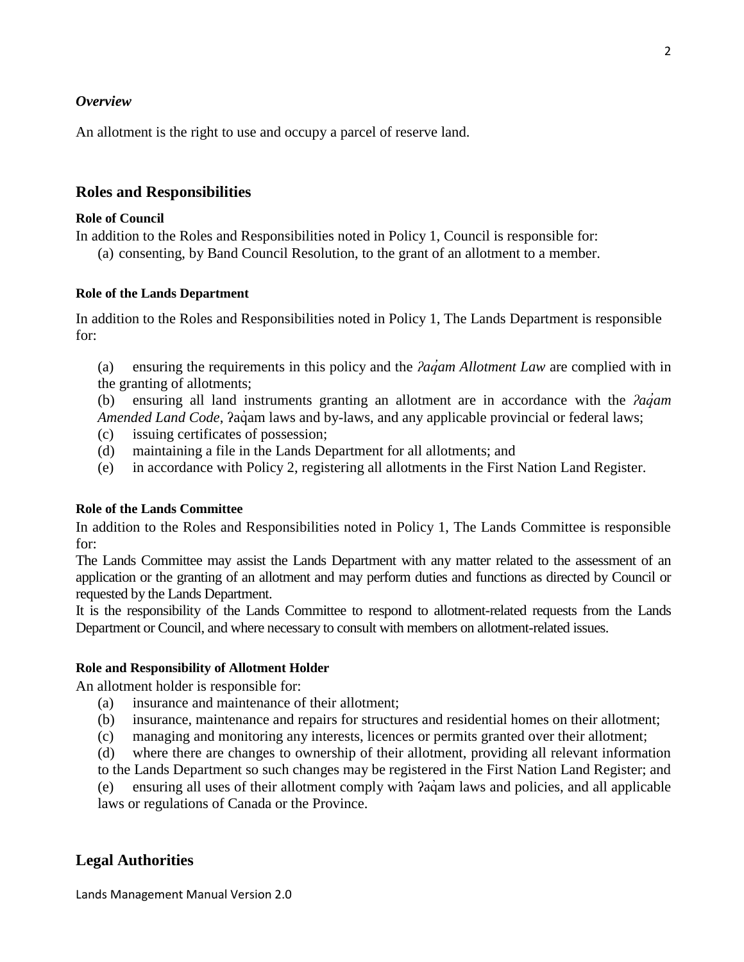#### *Overview*

An allotment is the right to use and occupy a parcel of reserve land.

#### <span id="page-1-0"></span>**Roles and Responsibilities**

#### **Role of Council**

In addition to the Roles and Responsibilities noted in Policy 1, Council is responsible for:

(a) consenting, by Band Council Resolution, to the grant of an allotment to a member.

#### **Role of the Lands Department**

In addition to the Roles and Responsibilities noted in Policy 1, The Lands Department is responsible for:

(a) ensuring the requirements in this policy and the *ʔaq̓am Allotment Law* are complied with in the granting of allotments;

(b) ensuring all land instruments granting an allotment are in accordance with the *ʔaq̓am Amended Land Code*, *Pacam laws and by-laws*, and any applicable provincial or federal laws;

- (c) issuing certificates of possession;
- (d) maintaining a file in the Lands Department for all allotments; and
- (e) in accordance with Policy 2, registering all allotments in the First Nation Land Register.

#### **Role of the Lands Committee**

In addition to the Roles and Responsibilities noted in Policy 1, The Lands Committee is responsible for:

The Lands Committee may assist the Lands Department with any matter related to the assessment of an application or the granting of an allotment and may perform duties and functions as directed by Council or requested by the Lands Department.

It is the responsibility of the Lands Committee to respond to allotment-related requests from the Lands Department or Council, and where necessary to consult with members on allotment-related issues.

#### **Role and Responsibility of Allotment Holder**

An allotment holder is responsible for:

- (a) insurance and maintenance of their allotment;
- (b) insurance, maintenance and repairs for structures and residential homes on their allotment;
- (c) managing and monitoring any interests, licences or permits granted over their allotment;

(d) where there are changes to ownership of their allotment, providing all relevant information

to the Lands Department so such changes may be registered in the First Nation Land Register; and

(e) ensuring all uses of their allotment comply with ʔaq̓ am laws and policies, and all applicable laws or regulations of Canada or the Province.

#### <span id="page-1-1"></span>**Legal Authorities**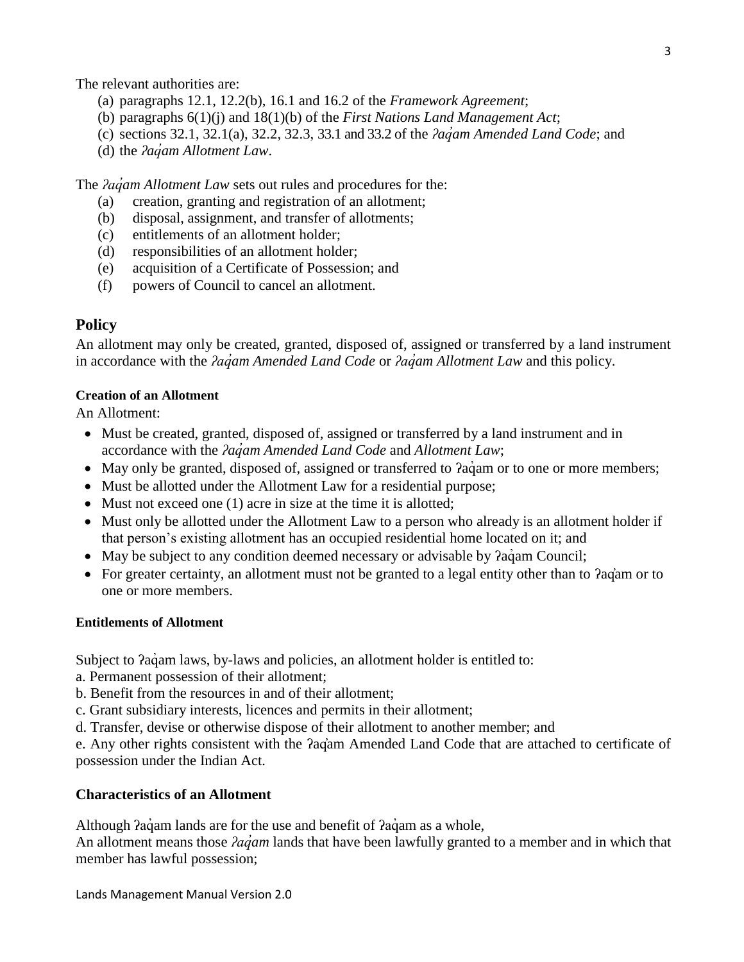The relevant authorities are:

- (a) paragraphs 12.1, 12.2(b), 16.1 and 16.2 of the *Framework Agreement*;
- (b) paragraphs 6(1)(j) and 18(1)(b) of the *First Nations Land Management Act*;
- (c) sections 32.1, 32.1(a), 32.2, 32.3, 33.1 and 33.2 of the *ʔaq̓am Amended Land Code*; and
- (d) the *ʔaq̓am Allotment Law*.

The *ʔaq̓am Allotment Law* sets out rules and procedures for the:

- (a) creation, granting and registration of an allotment;
- (b) disposal, assignment, and transfer of allotments;
- (c) entitlements of an allotment holder;
- (d) responsibilities of an allotment holder;
- (e) acquisition of a Certificate of Possession; and
- (f) powers of Council to cancel an allotment.

#### <span id="page-2-0"></span>**Policy**

An allotment may only be created, granted, disposed of, assigned or transferred by a land instrument in accordance with the *ʔaq̓am Amended Land Code* or *ʔaq̓am Allotment Law* and this policy.

#### **Creation of an Allotment**

An Allotment:

- Must be created, granted, disposed of, assigned or transferred by a land instrument and in accordance with the *ʔaq̓am Amended Land Code* and *Allotment Law*;
- May only be granted, disposed of, assigned or transferred to ?aq´am or to one or more members;
- Must be allotted under the Allotment Law for a residential purpose;
- Must not exceed one (1) acre in size at the time it is allotted;
- Must only be allotted under the Allotment Law to a person who already is an allotment holder if that person's existing allotment has an occupied residential home located on it; and
- May be subject to any condition deemed necessary or advisable by ?aq´am Council;
- For greater certainty, an allotment must not be granted to a legal entity other than to *Paq*'am or to one or more members.

#### **Entitlements of Allotment**

Subject to  $2aq$  am laws, by-laws and policies, an allotment holder is entitled to:

- a. Permanent possession of their allotment;
- b. Benefit from the resources in and of their allotment;
- c. Grant subsidiary interests, licences and permits in their allotment;
- d. Transfer, devise or otherwise dispose of their allotment to another member; and

e. Any other rights consistent with the ʔaq̓am Amended Land Code that are attached to certificate of possession under the Indian Act.

#### **Characteristics of an Allotment**

Although *Pagam lands are for the use and benefit of Pagam as a whole*,

An allotment means those *ʔaq̓am* lands that have been lawfully granted to a member and in which that member has lawful possession;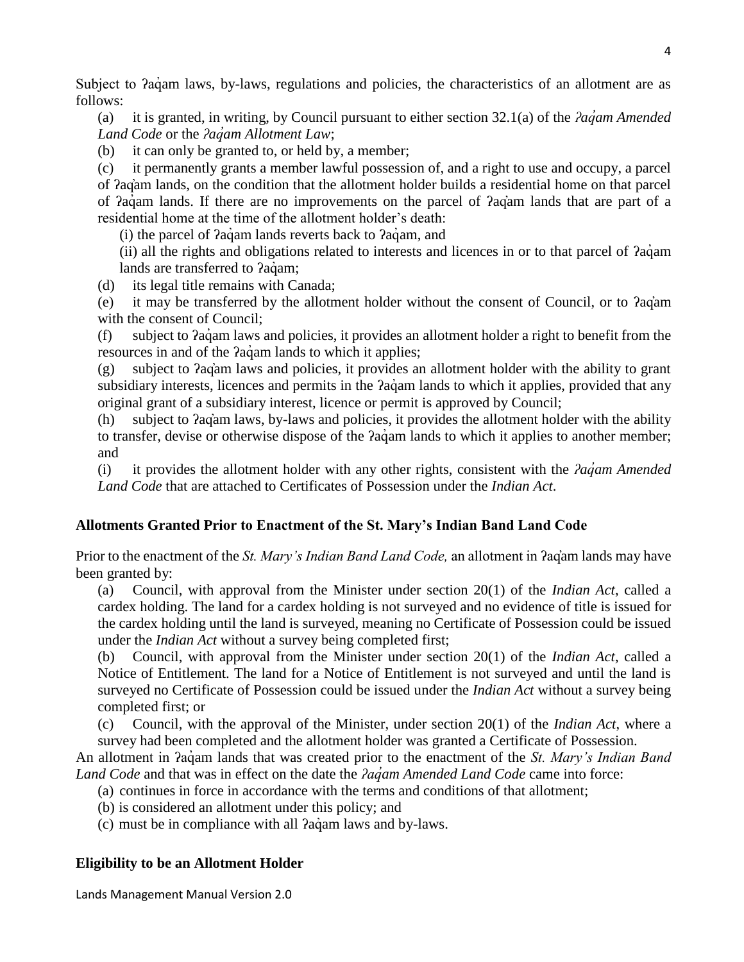Subject to  $2aq<sub>am</sub>$  laws, by-laws, regulations and policies, the characteristics of an allotment are as follows:

(a) it is granted, in writing, by Council pursuant to either section 32.1(a) of the *ʔaq̓am Amended Land Code* or the *ʔaq̓am Allotment Law*;

(b) it can only be granted to, or held by, a member;

(c) it permanently grants a member lawful possession of, and a right to use and occupy, a parcel of ʔaq̓am lands, on the condition that the allotment holder builds a residential home on that parcel of *?agam lands*. If there are no improvements on the parcel of *?agam lands* that are part of a residential home at the time of the allotment holder's death:

(i) the parcel of  $2a\dot{q}$  am lands reverts back to  $2a\dot{q}$  am, and

(ii) all the rights and obligations related to interests and licences in or to that parcel of  $2aq<sub>q</sub>$  am lands are transferred to *?adam*:

- (d) its legal title remains with Canada;
- (e) it may be transferred by the allotment holder without the consent of Council, or to ʔaq̓am with the consent of Council;

(f) subject to ʔaq̓ am laws and policies, it provides an allotment holder a right to benefit from the resources in and of the  $2aq<sub>am</sub>$  lands to which it applies;

(g) subject to ʔaq̓am laws and policies, it provides an allotment holder with the ability to grant subsidiary interests, licences and permits in the  $2a\ddot{q}$  am lands to which it applies, provided that any original grant of a subsidiary interest, licence or permit is approved by Council;

(h) subject to ʔaq̓am laws, by-laws and policies, it provides the allotment holder with the ability to transfer, devise or otherwise dispose of the  $2a\ddot{a}$  am lands to which it applies to another member; and

(i) it provides the allotment holder with any other rights, consistent with the *ʔaq̓am Amended Land Code* that are attached to Certificates of Possession under the *Indian Act*.

## **Allotments Granted Prior to Enactment of the St. Mary's Indian Band Land Code**

Prior to the enactment of the *St. Mary's Indian Band Land Code,* an allotment in ʔaq̓am lands may have been granted by:

(a) Council, with approval from the Minister under section 20(1) of the *Indian Act*, called a cardex holding. The land for a cardex holding is not surveyed and no evidence of title is issued for the cardex holding until the land is surveyed, meaning no Certificate of Possession could be issued under the *Indian Act* without a survey being completed first;

(b) Council, with approval from the Minister under section 20(1) of the *Indian Act*, called a Notice of Entitlement. The land for a Notice of Entitlement is not surveyed and until the land is surveyed no Certificate of Possession could be issued under the *Indian Act* without a survey being completed first; or

(c) Council, with the approval of the Minister, under section 20(1) of the *Indian Act*, where a survey had been completed and the allotment holder was granted a Certificate of Possession.

An allotment in ʔaq̓ am lands that was created prior to the enactment of the *St. Mary's Indian Band Land Code* and that was in effect on the date the *ʔaq̓am Amended Land Code* came into force:

- (a) continues in force in accordance with the terms and conditions of that allotment;
- (b) is considered an allotment under this policy; and

(c) must be in compliance with all ʔaq̓ am laws and by-laws.

## **Eligibility to be an Allotment Holder**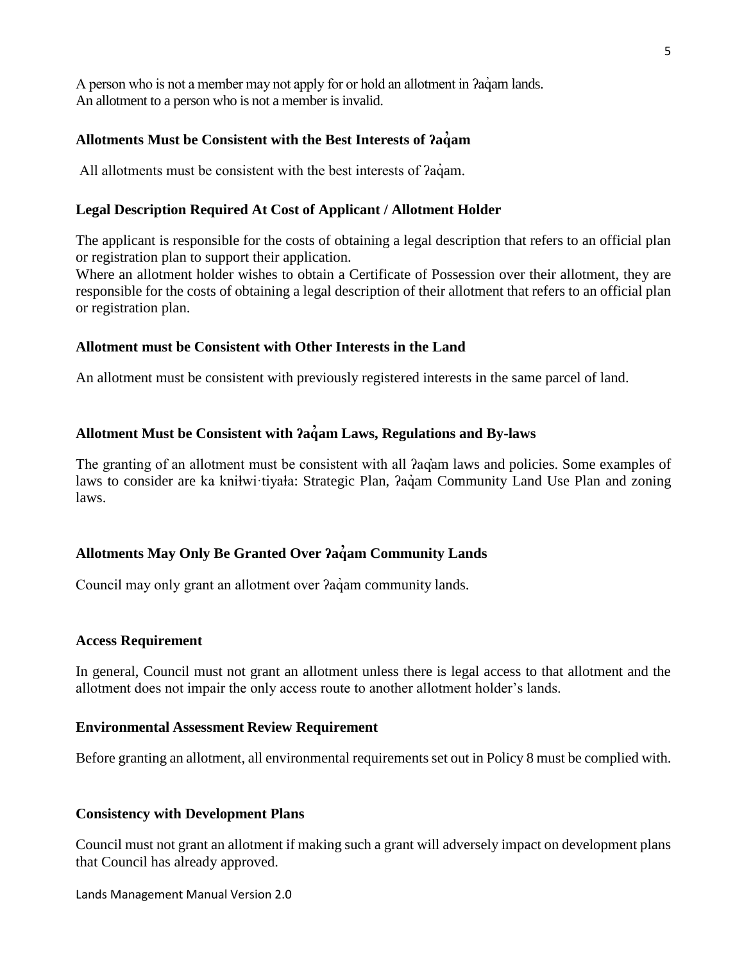A person who is not a member may not apply for or hold an allotment in  $aq$  and lands. An allotment to a person who is not a member is invalid.

### **Allotments Must be Consistent with the Best Interests of ʔaq̓am**

All allotments must be consistent with the best interests of  $2aq$  am.

#### **Legal Description Required At Cost of Applicant / Allotment Holder**

The applicant is responsible for the costs of obtaining a legal description that refers to an official plan or registration plan to support their application.

Where an allotment holder wishes to obtain a Certificate of Possession over their allotment, they are responsible for the costs of obtaining a legal description of their allotment that refers to an official plan or registration plan.

#### **Allotment must be Consistent with Other Interests in the Land**

An allotment must be consistent with previously registered interests in the same parcel of land.

#### **Allotment Must be Consistent with ʔaq̓am Laws, Regulations and By-laws**

The granting of an allotment must be consistent with all *fag*'am laws and policies. Some examples of laws to consider are ka kniłwi·tiyała: Strategic Plan,  $2a\alpha$ am Community Land Use Plan and zoning laws.

#### **Allotments May Only Be Granted Over ʔaq̓am Community Lands**

Council may only grant an allotment over  $2a\ddot{q}$  am community lands.

#### **Access Requirement**

In general, Council must not grant an allotment unless there is legal access to that allotment and the allotment does not impair the only access route to another allotment holder's lands.

#### **Environmental Assessment Review Requirement**

Before granting an allotment, all environmental requirements set out in Policy 8 must be complied with.

#### **Consistency with Development Plans**

Council must not grant an allotment if making such a grant will adversely impact on development plans that Council has already approved.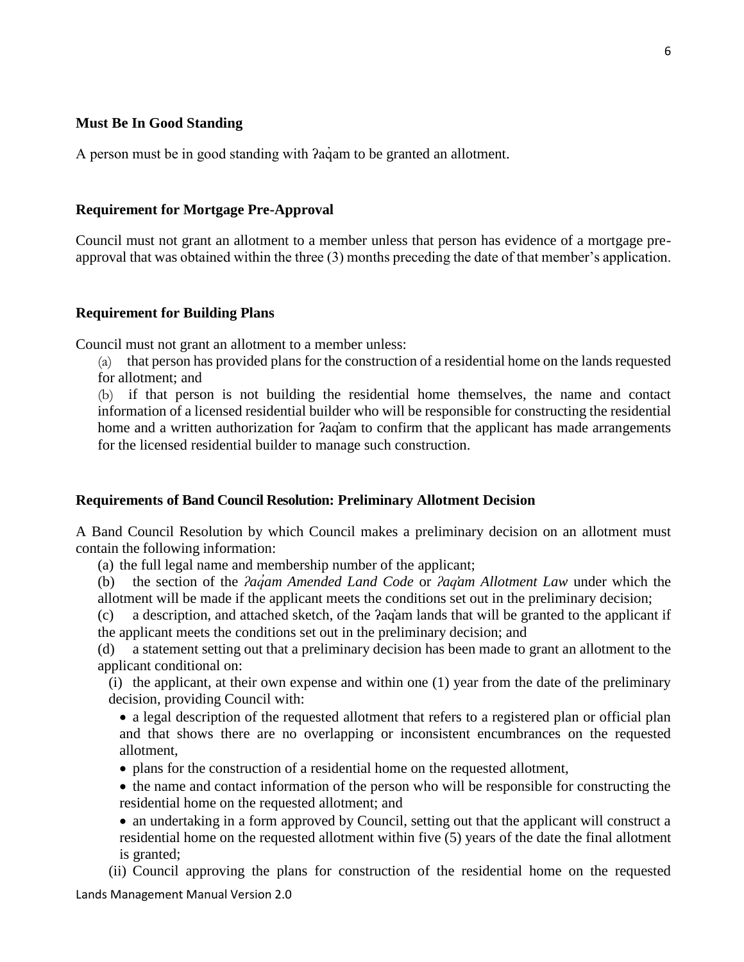#### **Must Be In Good Standing**

A person must be in good standing with *?agam* to be granted an allotment.

#### **Requirement for Mortgage Pre-Approval**

Council must not grant an allotment to a member unless that person has evidence of a mortgage preapproval that was obtained within the three (3) months preceding the date of that member's application.

#### **Requirement for Building Plans**

Council must not grant an allotment to a member unless:

(a) that person has provided plans for the construction of a residential home on the lands requested for allotment; and

(b) if that person is not building the residential home themselves, the name and contact information of a licensed residential builder who will be responsible for constructing the residential home and a written authorization for *Pagam* to confirm that the applicant has made arrangements for the licensed residential builder to manage such construction.

#### **Requirements of Band Council Resolution: Preliminary Allotment Decision**

A Band Council Resolution by which Council makes a preliminary decision on an allotment must contain the following information:

(a) the full legal name and membership number of the applicant;

(b) the section of the *ʔaq̓am Amended Land Code* or *ʔaq̓am Allotment Law* under which the allotment will be made if the applicant meets the conditions set out in the preliminary decision;

(c) a description, and attached sketch, of the ʔaq̓am lands that will be granted to the applicant if the applicant meets the conditions set out in the preliminary decision; and

(d) a statement setting out that a preliminary decision has been made to grant an allotment to the applicant conditional on:

(i) the applicant, at their own expense and within one (1) year from the date of the preliminary decision, providing Council with:

• a legal description of the requested allotment that refers to a registered plan or official plan and that shows there are no overlapping or inconsistent encumbrances on the requested allotment,

plans for the construction of a residential home on the requested allotment,

 the name and contact information of the person who will be responsible for constructing the residential home on the requested allotment; and

 an undertaking in a form approved by Council, setting out that the applicant will construct a residential home on the requested allotment within five (5) years of the date the final allotment is granted;

(ii) Council approving the plans for construction of the residential home on the requested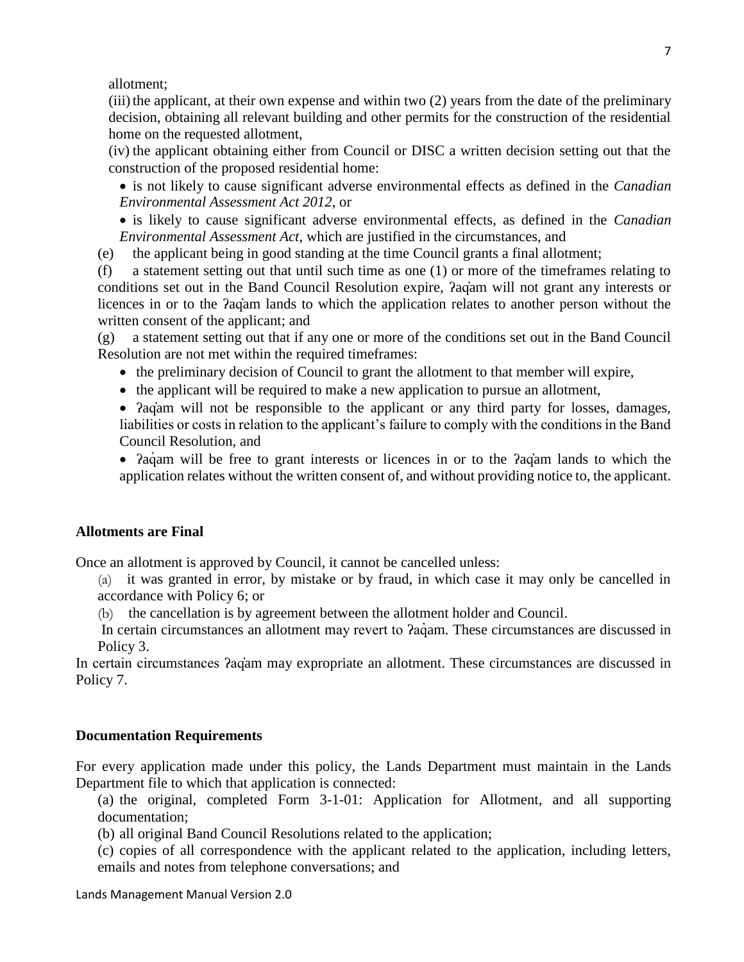allotment;

(iii) the applicant, at their own expense and within two  $(2)$  years from the date of the preliminary decision, obtaining all relevant building and other permits for the construction of the residential home on the requested allotment,

(iv) the applicant obtaining either from Council or DISC a written decision setting out that the construction of the proposed residential home:

 is not likely to cause significant adverse environmental effects as defined in the *Canadian Environmental Assessment Act 2012*, or

 is likely to cause significant adverse environmental effects, as defined in the *Canadian Environmental Assessment Act*, which are justified in the circumstances, and

(e) the applicant being in good standing at the time Council grants a final allotment;

(f) a statement setting out that until such time as one (1) or more of the timeframes relating to conditions set out in the Band Council Resolution expire, ʔaq̓am will not grant any interests or licences in or to the ʔaq̓am lands to which the application relates to another person without the written consent of the applicant; and

(g) a statement setting out that if any one or more of the conditions set out in the Band Council Resolution are not met within the required timeframes:

• the preliminary decision of Council to grant the allotment to that member will expire,

 $\bullet$  the applicant will be required to make a new application to pursue an allotment,

• Pagam will not be responsible to the applicant or any third party for losses, damages, liabilities or costs in relation to the applicant's failure to comply with the conditions in the Band Council Resolution, and

• Paquam will be free to grant interests or licences in or to the Paquam lands to which the application relates without the written consent of, and without providing notice to, the applicant.

#### **Allotments are Final**

Once an allotment is approved by Council, it cannot be cancelled unless:

(a) it was granted in error, by mistake or by fraud, in which case it may only be cancelled in accordance with Policy 6; or

(b) the cancellation is by agreement between the allotment holder and Council.

In certain circumstances an allotment may revert to *?aquam.* These circumstances are discussed in Policy 3.

In certain circumstances ʔaq̓am may expropriate an allotment. These circumstances are discussed in Policy 7.

#### **Documentation Requirements**

For every application made under this policy, the Lands Department must maintain in the Lands Department file to which that application is connected:

(a) the original, completed Form 3-1-01: Application for Allotment, and all supporting documentation;

(b) all original Band Council Resolutions related to the application;

(c) copies of all correspondence with the applicant related to the application, including letters, emails and notes from telephone conversations; and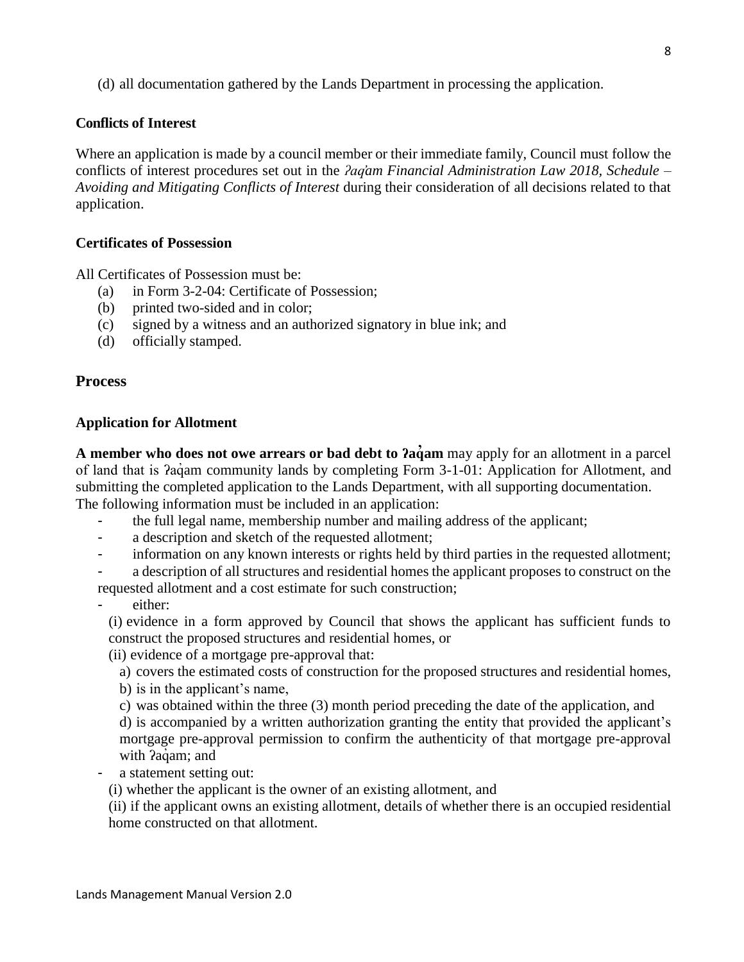(d) all documentation gathered by the Lands Department in processing the application.

## **Conflicts of Interest**

Where an application is made by a council member or their immediate family, Council must follow the conflicts of interest procedures set out in the *ʔaq̓am Financial Administration Law 2018, Schedule – Avoiding and Mitigating Conflicts of Interest* during their consideration of all decisions related to that application.

#### **Certificates of Possession**

All Certificates of Possession must be:

- (a) in Form 3-2-04: Certificate of Possession;
- (b) printed two-sided and in color;
- (c) signed by a witness and an authorized signatory in blue ink; and
- (d) officially stamped.

#### <span id="page-7-0"></span>**Process**

#### **Application for Allotment**

**A member who does not owe arrears or bad debt to ʔaq̓am** may apply for an allotment in a parcel of land that is  $2a\alpha$  community lands by completing Form 3-1-01: Application for Allotment, and submitting the completed application to the Lands Department, with all supporting documentation. The following information must be included in an application:

- the full legal name, membership number and mailing address of the applicant;
- a description and sketch of the requested allotment;
- information on any known interests or rights held by third parties in the requested allotment;

a description of all structures and residential homes the applicant proposes to construct on the requested allotment and a cost estimate for such construction;

either:

(i) evidence in a form approved by Council that shows the applicant has sufficient funds to construct the proposed structures and residential homes, or

(ii) evidence of a mortgage pre-approval that:

a) covers the estimated costs of construction for the proposed structures and residential homes,

b) is in the applicant's name,

c) was obtained within the three (3) month period preceding the date of the application, and d) is accompanied by a written authorization granting the entity that provided the applicant's mortgage pre-approval permission to confirm the authenticity of that mortgage pre-approval with *Paqam*; and

a statement setting out:

(i) whether the applicant is the owner of an existing allotment, and

(ii) if the applicant owns an existing allotment, details of whether there is an occupied residential home constructed on that allotment.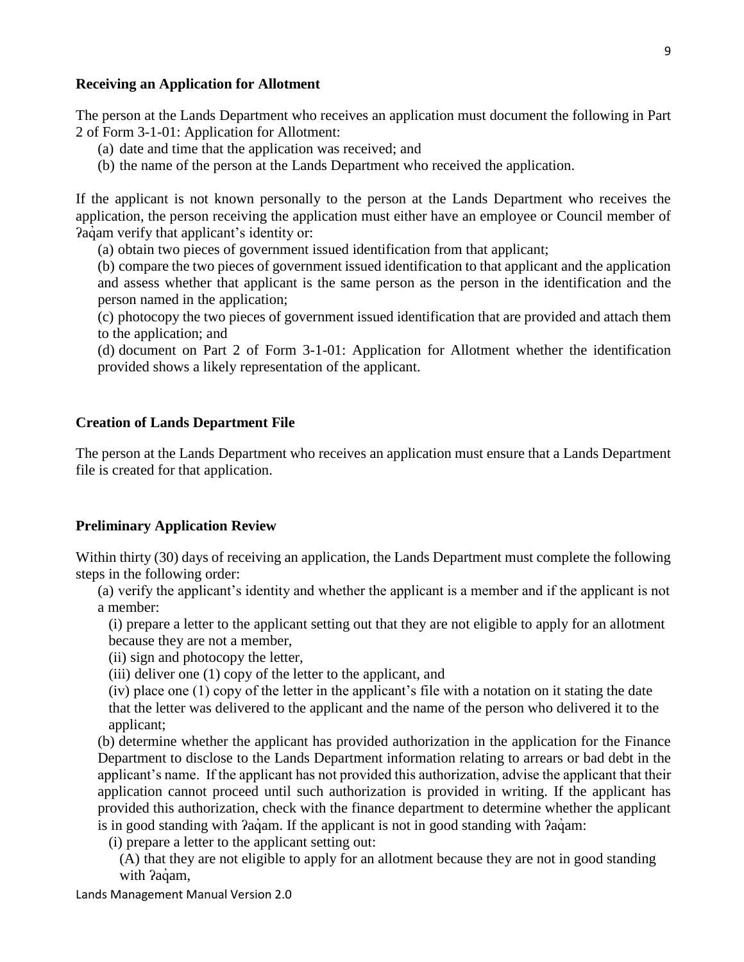#### **Receiving an Application for Allotment**

The person at the Lands Department who receives an application must document the following in Part 2 of Form 3-1-01: Application for Allotment:

- (a) date and time that the application was received; and
- (b) the name of the person at the Lands Department who received the application.

If the applicant is not known personally to the person at the Lands Department who receives the application, the person receiving the application must either have an employee or Council member of Pagam verify that applicant's identity or:

(a) obtain two pieces of government issued identification from that applicant;

(b) compare the two pieces of government issued identification to that applicant and the application and assess whether that applicant is the same person as the person in the identification and the person named in the application;

(c) photocopy the two pieces of government issued identification that are provided and attach them to the application; and

(d) document on Part 2 of Form 3-1-01: Application for Allotment whether the identification provided shows a likely representation of the applicant.

#### **Creation of Lands Department File**

The person at the Lands Department who receives an application must ensure that a Lands Department file is created for that application.

#### **Preliminary Application Review**

Within thirty (30) days of receiving an application, the Lands Department must complete the following steps in the following order:

(a) verify the applicant's identity and whether the applicant is a member and if the applicant is not a member:

(i) prepare a letter to the applicant setting out that they are not eligible to apply for an allotment because they are not a member,

(ii) sign and photocopy the letter,

(iii) deliver one (1) copy of the letter to the applicant, and

(iv) place one (1) copy of the letter in the applicant's file with a notation on it stating the date that the letter was delivered to the applicant and the name of the person who delivered it to the applicant;

(b) determine whether the applicant has provided authorization in the application for the Finance Department to disclose to the Lands Department information relating to arrears or bad debt in the applicant's name. If the applicant has not provided this authorization, advise the applicant that their application cannot proceed until such authorization is provided in writing. If the applicant has provided this authorization, check with the finance department to determine whether the applicant is in good standing with *?agam.* If the applicant is not in good standing with *?agam*:

(i) prepare a letter to the applicant setting out:

(A) that they are not eligible to apply for an allotment because they are not in good standing with *Paq*am,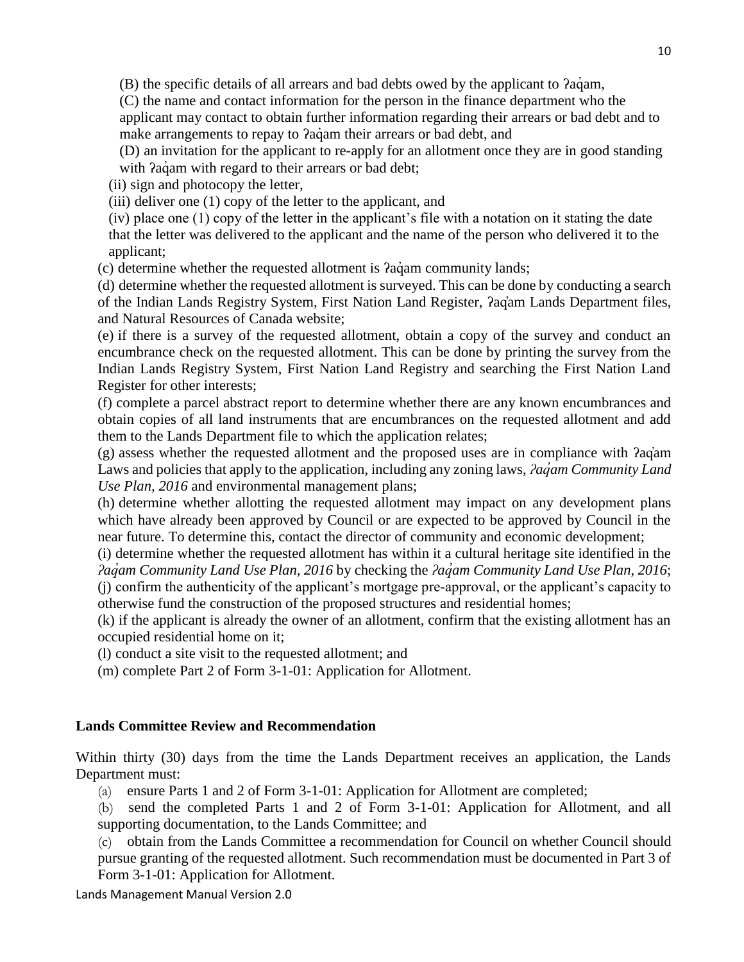(B) the specific details of all arrears and bad debts owed by the applicant to ʔaq̓ am,

(C) the name and contact information for the person in the finance department who the applicant may contact to obtain further information regarding their arrears or bad debt and to make arrangements to repay to *?agam* their arrears or bad debt, and

(D) an invitation for the applicant to re-apply for an allotment once they are in good standing with  $a$ <sup>d</sup> am with regard to their arrears or bad debt;

(ii) sign and photocopy the letter,

(iii) deliver one (1) copy of the letter to the applicant, and

(iv) place one (1) copy of the letter in the applicant's file with a notation on it stating the date that the letter was delivered to the applicant and the name of the person who delivered it to the applicant;

 $(c)$  determine whether the requested allotment is  $2a\ddot{q}$  am community lands;

(d) determine whether the requested allotment is surveyed. This can be done by conducting a search of the Indian Lands Registry System, First Nation Land Register, ʔaq̓am Lands Department files, and Natural Resources of Canada website;

(e) if there is a survey of the requested allotment, obtain a copy of the survey and conduct an encumbrance check on the requested allotment. This can be done by printing the survey from the Indian Lands Registry System, First Nation Land Registry and searching the First Nation Land Register for other interests;

(f) complete a parcel abstract report to determine whether there are any known encumbrances and obtain copies of all land instruments that are encumbrances on the requested allotment and add them to the Lands Department file to which the application relates;

(g) assess whether the requested allotment and the proposed uses are in compliance with ʔaq̓am Laws and policies that apply to the application, including any zoning laws, *ʔaq̓am Community Land Use Plan, 2016* and environmental management plans;

(h) determine whether allotting the requested allotment may impact on any development plans which have already been approved by Council or are expected to be approved by Council in the near future. To determine this, contact the director of community and economic development;

(i) determine whether the requested allotment has within it a cultural heritage site identified in the *ʔaq̓am Community Land Use Plan, 2016* by checking the *ʔaq̓am Community Land Use Plan, 2016*; (j) confirm the authenticity of the applicant's mortgage pre-approval, or the applicant's capacity to otherwise fund the construction of the proposed structures and residential homes;

(k) if the applicant is already the owner of an allotment, confirm that the existing allotment has an occupied residential home on it;

(l) conduct a site visit to the requested allotment; and

(m) complete Part 2 of Form 3-1-01: Application for Allotment.

## **Lands Committee Review and Recommendation**

Within thirty (30) days from the time the Lands Department receives an application, the Lands Department must:

(a) ensure Parts 1 and 2 of Form 3-1-01: Application for Allotment are completed;

(b) send the completed Parts 1 and 2 of Form 3-1-01: Application for Allotment, and all supporting documentation, to the Lands Committee; and

(c) obtain from the Lands Committee a recommendation for Council on whether Council should pursue granting of the requested allotment. Such recommendation must be documented in Part 3 of Form 3-1-01: Application for Allotment.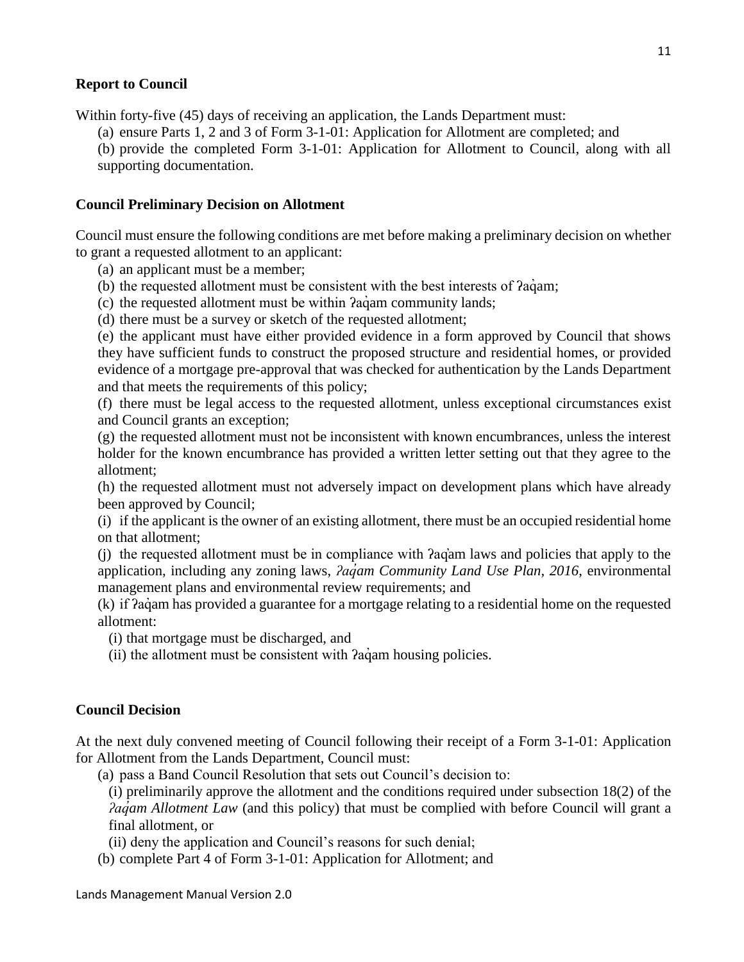#### **Report to Council**

Within forty-five (45) days of receiving an application, the Lands Department must:

(a) ensure Parts 1, 2 and 3 of Form 3-1-01: Application for Allotment are completed; and

(b) provide the completed Form 3-1-01: Application for Allotment to Council, along with all supporting documentation.

#### **Council Preliminary Decision on Allotment**

Council must ensure the following conditions are met before making a preliminary decision on whether to grant a requested allotment to an applicant:

(a) an applicant must be a member;

- (b) the requested allotment must be consistent with the best interests of  $2a\dot{q}$ am;
- (c) the requested allotment must be within *?agam community lands*;
- (d) there must be a survey or sketch of the requested allotment;

(e) the applicant must have either provided evidence in a form approved by Council that shows they have sufficient funds to construct the proposed structure and residential homes, or provided evidence of a mortgage pre-approval that was checked for authentication by the Lands Department and that meets the requirements of this policy;

(f) there must be legal access to the requested allotment, unless exceptional circumstances exist and Council grants an exception;

(g) the requested allotment must not be inconsistent with known encumbrances, unless the interest holder for the known encumbrance has provided a written letter setting out that they agree to the allotment;

(h) the requested allotment must not adversely impact on development plans which have already been approved by Council;

(i) if the applicant is the owner of an existing allotment, there must be an occupied residential home on that allotment;

(j) the requested allotment must be in compliance with ʔaq̓am laws and policies that apply to the application, including any zoning laws, *ʔaq̓am Community Land Use Plan, 2016*, environmental management plans and environmental review requirements; and

(k) if ʔaq̓ am has provided a guarantee for a mortgage relating to a residential home on the requested allotment:

(i) that mortgage must be discharged, and

(ii) the allotment must be consistent with *?aq*̃ am housing policies.

#### **Council Decision**

At the next duly convened meeting of Council following their receipt of a Form 3-1-01: Application for Allotment from the Lands Department, Council must:

(a) pass a Band Council Resolution that sets out Council's decision to:

(i) preliminarily approve the allotment and the conditions required under subsection 18(2) of the *<i>���am Allotment Law* (and this policy) that must be complied with before Council will grant a final allotment, or

(ii) deny the application and Council's reasons for such denial;

(b) complete Part 4 of Form 3-1-01: Application for Allotment; and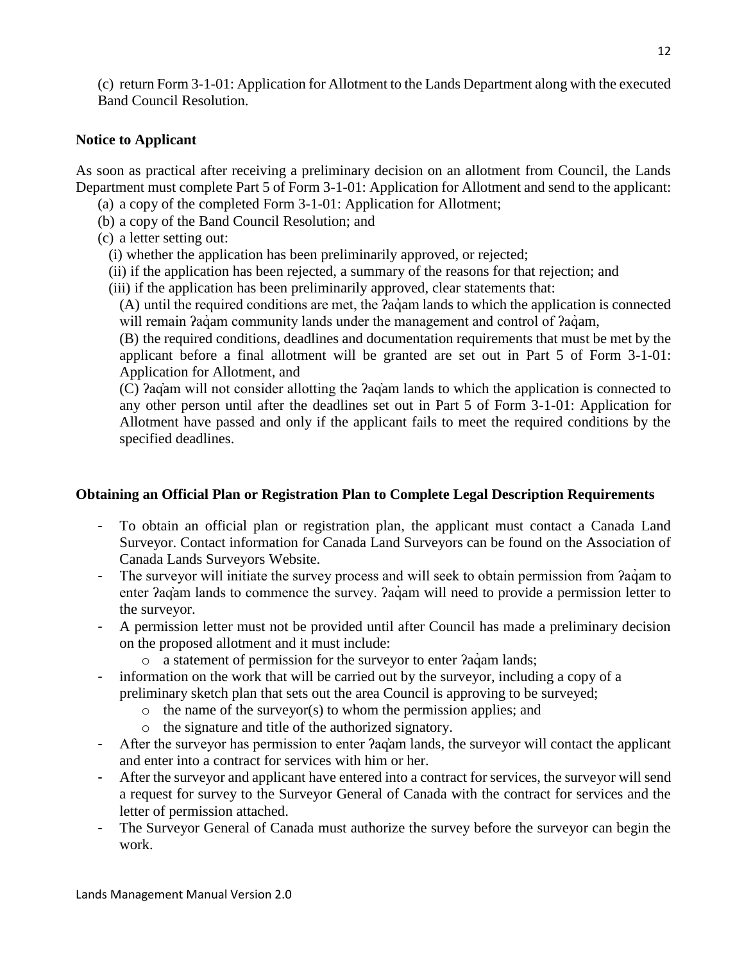(c) return Form 3-1-01: Application for Allotment to the Lands Department along with the executed Band Council Resolution.

## **Notice to Applicant**

As soon as practical after receiving a preliminary decision on an allotment from Council, the Lands Department must complete Part 5 of Form 3-1-01: Application for Allotment and send to the applicant:

- (a) a copy of the completed Form 3-1-01: Application for Allotment;
- (b) a copy of the Band Council Resolution; and
- (c) a letter setting out:
	- (i) whether the application has been preliminarily approved, or rejected;
	- (ii) if the application has been rejected, a summary of the reasons for that rejection; and
	- (iii) if the application has been preliminarily approved, clear statements that:

(A) until the required conditions are met, the *fag*am lands to which the application is connected will remain  $a$  a community lands under the management and control of  $a$  a am,

(B) the required conditions, deadlines and documentation requirements that must be met by the applicant before a final allotment will be granted are set out in Part 5 of Form 3-1-01: Application for Allotment, and

(C) ʔaq̓am will not consider allotting the ʔaq̓am lands to which the application is connected to any other person until after the deadlines set out in Part 5 of Form 3-1-01: Application for Allotment have passed and only if the applicant fails to meet the required conditions by the specified deadlines.

## **Obtaining an Official Plan or Registration Plan to Complete Legal Description Requirements**

- To obtain an official plan or registration plan, the applicant must contact a Canada Land Surveyor. Contact information for Canada Land Surveyors can be found on the Association of Canada Lands Surveyors Website.
- The surveyor will initiate the survey process and will seek to obtain permission from  $a\ddot{a}$ am to enter  $aq<sub>am</sub>$  lands to commence the survey.  $aq<sub>am</sub>$  will need to provide a permission letter to the surveyor.
- A permission letter must not be provided until after Council has made a preliminary decision on the proposed allotment and it must include:
	- o a statement of permission for the surveyor to enter  $2a\gamma$  am lands;
- information on the work that will be carried out by the surveyor, including a copy of a preliminary sketch plan that sets out the area Council is approving to be surveyed;
	- $\circ$  the name of the surveyor(s) to whom the permission applies; and
	- o the signature and title of the authorized signatory.
- After the surveyor has permission to enter *?ag*<sup>am</sup> lands, the surveyor will contact the applicant and enter into a contract for services with him or her.
- After the surveyor and applicant have entered into a contract for services, the surveyor will send a request for survey to the Surveyor General of Canada with the contract for services and the letter of permission attached.
- The Surveyor General of Canada must authorize the survey before the surveyor can begin the work.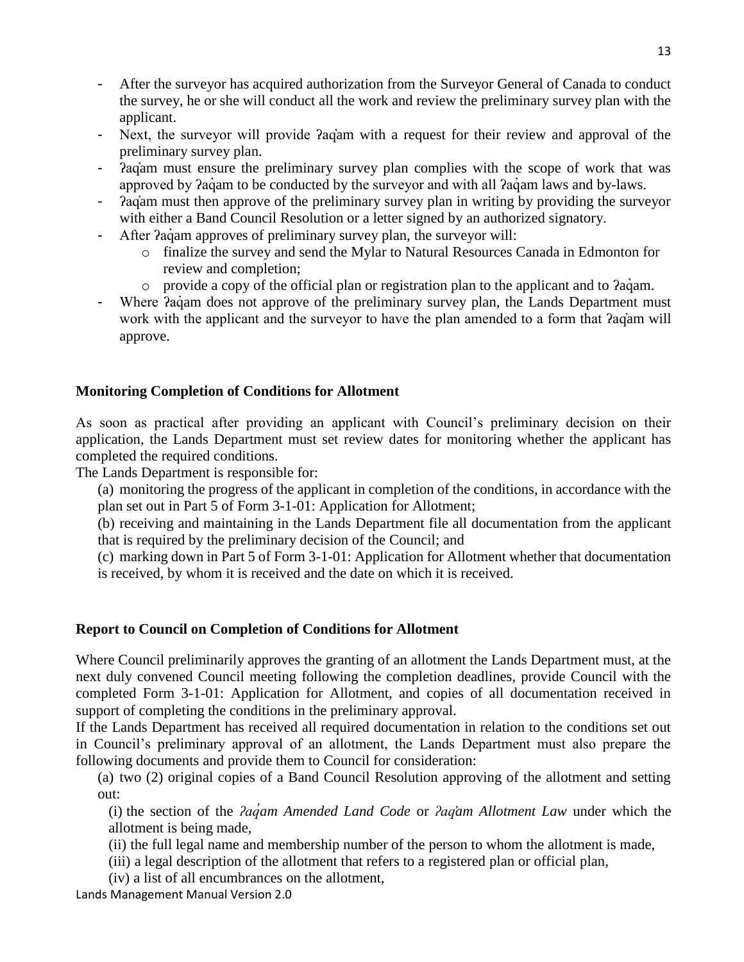- After the surveyor has acquired authorization from the Surveyor General of Canada to conduct the survey, he or she will conduct all the work and review the preliminary survey plan with the applicant.
- Next, the surveyor will provide ʔaq̓am with a request for their review and approval of the preliminary survey plan.
- ʔaq̓am must ensure the preliminary survey plan complies with the scope of work that was approved by  $a$  agam to be conducted by the surveyor and with all  $a$  agam laws and by-laws.
- ʔaq̓am must then approve of the preliminary survey plan in writing by providing the surveyor with either a Band Council Resolution or a letter signed by an authorized signatory.
- After  $2a\ddot{a}$  am approves of preliminary survey plan, the surveyor will:
	- o finalize the survey and send the Mylar to Natural Resources Canada in Edmonton for review and completion;
	- $\circ$  provide a copy of the official plan or registration plan to the applicant and to  $\alpha$  adiam.
- Where  $2a\ddot{q}$  am does not approve of the preliminary survey plan, the Lands Department must work with the applicant and the surveyor to have the plan amended to a form that  $2aq<sub>am</sub>$  will approve.

## **Monitoring Completion of Conditions for Allotment**

As soon as practical after providing an applicant with Council's preliminary decision on their application, the Lands Department must set review dates for monitoring whether the applicant has completed the required conditions.

The Lands Department is responsible for:

(a) monitoring the progress of the applicant in completion of the conditions, in accordance with the plan set out in Part 5 of Form 3-1-01: Application for Allotment;

(b) receiving and maintaining in the Lands Department file all documentation from the applicant that is required by the preliminary decision of the Council; and

(c) marking down in Part 5 of Form 3-1-01: Application for Allotment whether that documentation is received, by whom it is received and the date on which it is received.

## **Report to Council on Completion of Conditions for Allotment**

Where Council preliminarily approves the granting of an allotment the Lands Department must, at the next duly convened Council meeting following the completion deadlines, provide Council with the completed Form 3-1-01: Application for Allotment, and copies of all documentation received in support of completing the conditions in the preliminary approval.

If the Lands Department has received all required documentation in relation to the conditions set out in Council's preliminary approval of an allotment, the Lands Department must also prepare the following documents and provide them to Council for consideration:

(a) two (2) original copies of a Band Council Resolution approving of the allotment and setting out:

(i) the section of the *ʔaq̓am Amended Land Code* or *ʔaq̓am Allotment Law* under which the allotment is being made,

(ii) the full legal name and membership number of the person to whom the allotment is made,

(iii) a legal description of the allotment that refers to a registered plan or official plan,

(iv) a list of all encumbrances on the allotment,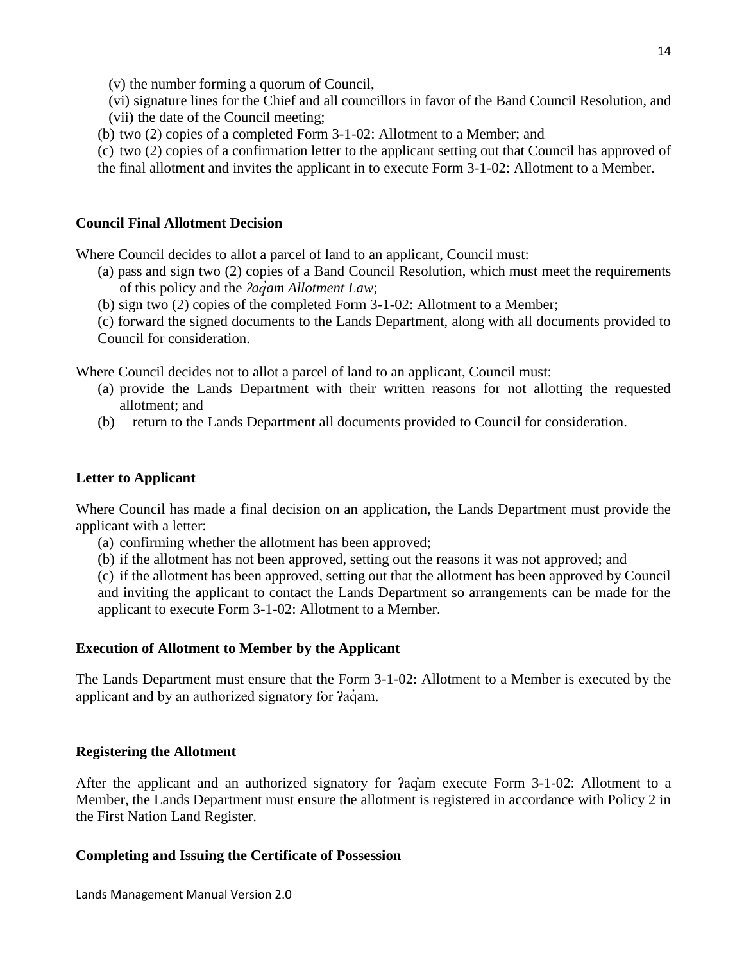(v) the number forming a quorum of Council,

(vi) signature lines for the Chief and all councillors in favor of the Band Council Resolution, and (vii) the date of the Council meeting;

- (b) two (2) copies of a completed Form 3-1-02: Allotment to a Member; and
- (c) two (2) copies of a confirmation letter to the applicant setting out that Council has approved of
- the final allotment and invites the applicant in to execute Form 3-1-02: Allotment to a Member.

### **Council Final Allotment Decision**

Where Council decides to allot a parcel of land to an applicant, Council must:

- (a) pass and sign two (2) copies of a Band Council Resolution, which must meet the requirements of this policy and the *ʔaq̓am Allotment Law*;
- (b) sign two (2) copies of the completed Form 3-1-02: Allotment to a Member;
- (c) forward the signed documents to the Lands Department, along with all documents provided to

Council for consideration.

Where Council decides not to allot a parcel of land to an applicant, Council must:

- (a) provide the Lands Department with their written reasons for not allotting the requested allotment; and
- (b) return to the Lands Department all documents provided to Council for consideration.

## **Letter to Applicant**

Where Council has made a final decision on an application, the Lands Department must provide the applicant with a letter:

- (a) confirming whether the allotment has been approved;
- (b) if the allotment has not been approved, setting out the reasons it was not approved; and

(c) if the allotment has been approved, setting out that the allotment has been approved by Council and inviting the applicant to contact the Lands Department so arrangements can be made for the applicant to execute Form 3-1-02: Allotment to a Member.

#### **Execution of Allotment to Member by the Applicant**

The Lands Department must ensure that the Form 3-1-02: Allotment to a Member is executed by the applicant and by an authorized signatory for  $2aq$  am.

#### **Registering the Allotment**

After the applicant and an authorized signatory for *Pagam* execute Form 3-1-02: Allotment to a Member, the Lands Department must ensure the allotment is registered in accordance with Policy 2 in the First Nation Land Register.

#### **Completing and Issuing the Certificate of Possession**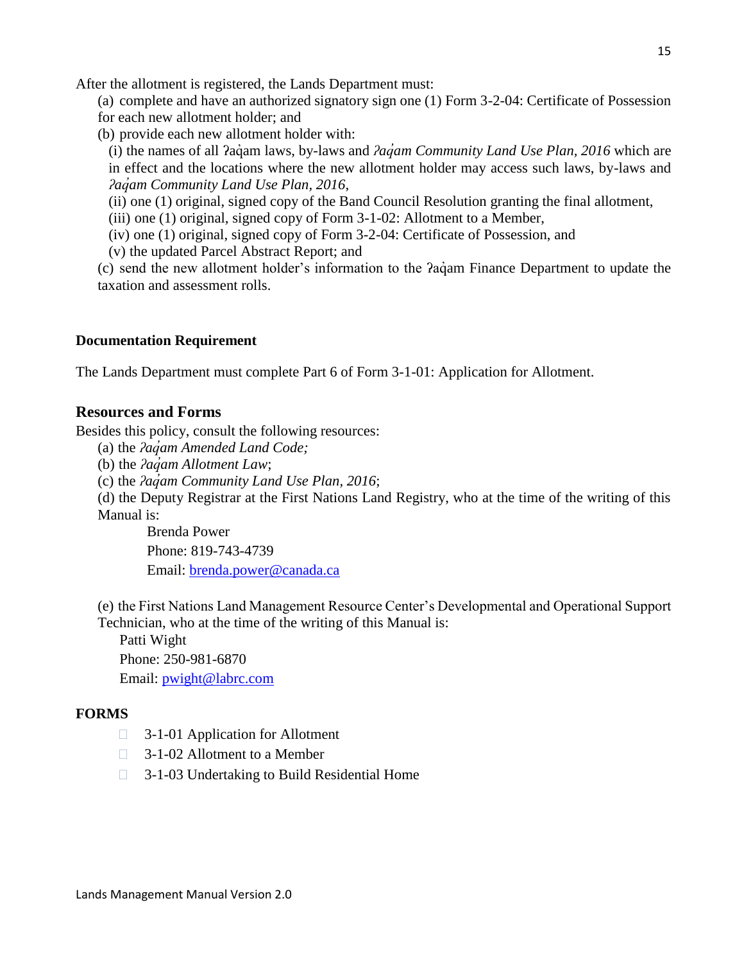After the allotment is registered, the Lands Department must:

(a) complete and have an authorized signatory sign one (1) Form 3-2-04: Certificate of Possession for each new allotment holder; and

(b) provide each new allotment holder with:

(i) the names of all ʔaq̓ am laws, by-laws and *ʔaq̓am Community Land Use Plan, 2016* which are in effect and the locations where the new allotment holder may access such laws, by-laws and *ʔaq̓am Community Land Use Plan, 2016*,

(ii) one (1) original, signed copy of the Band Council Resolution granting the final allotment,

(iii) one (1) original, signed copy of Form 3-1-02: Allotment to a Member,

(iv) one (1) original, signed copy of Form 3-2-04: Certificate of Possession, and

(v) the updated Parcel Abstract Report; and

(c) send the new allotment holder's information to the *Paq*uam Finance Department to update the taxation and assessment rolls.

#### **Documentation Requirement**

<span id="page-14-0"></span>The Lands Department must complete Part 6 of Form 3-1-01: Application for Allotment.

#### **Resources and Forms**

Besides this policy, consult the following resources:

(a) the *ʔaq̓am Amended Land Code;*

(b) the *ʔaq̓am Allotment Law*;

(c) the *ʔaq̓am Community Land Use Plan, 2016*;

(d) the Deputy Registrar at the First Nations Land Registry, who at the time of the writing of this Manual is:

Brenda Power Phone: 819-743-4739 Email: [brenda.power@canada.ca](mailto:brenda.power@canada.ca)

(e) the First Nations Land Management Resource Center's Developmental and Operational Support Technician, who at the time of the writing of this Manual is:

Patti Wight Phone: 250-981-6870

Email: [pwight@labrc.com](mailto:pwight@labrc.com)

#### **FORMS**

- **3-1-01 Application for Allotment**
- □ 3-1-02 Allotment to a Member
- □ 3-1-03 Undertaking to Build Residential Home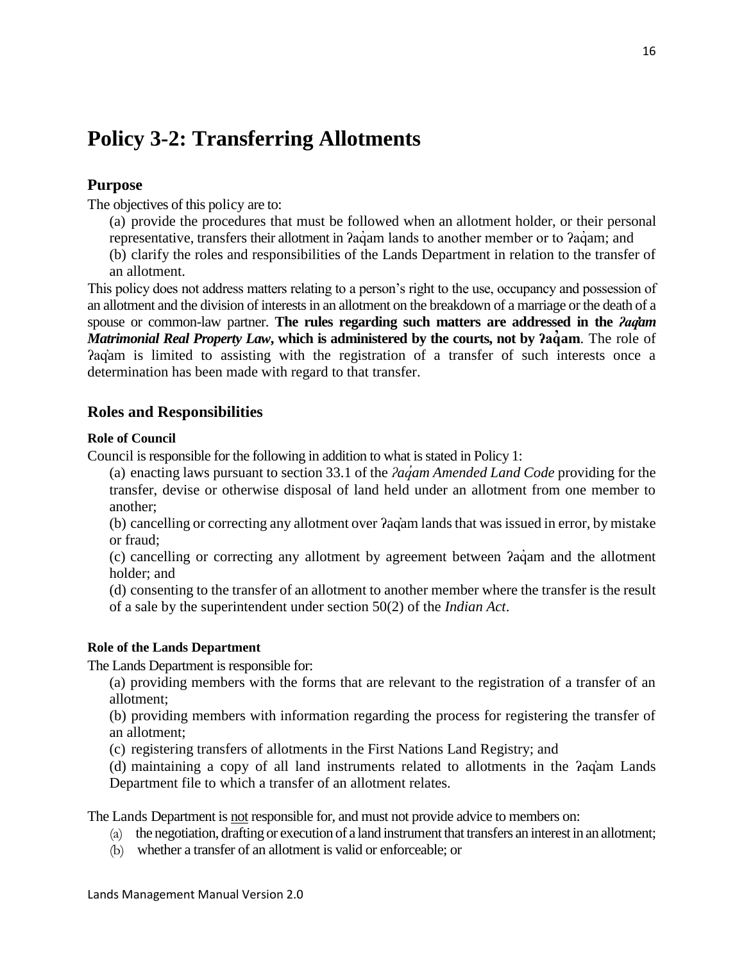# <span id="page-15-0"></span>**Policy 3-2: Transferring Allotments**

## <span id="page-15-1"></span>**Purpose**

The objectives of this policy are to:

- (a) provide the procedures that must be followed when an allotment holder, or their personal representative, transfers their allotment in *?agam lands to another member or to ?agam; and*
- (b) clarify the roles and responsibilities of the Lands Department in relation to the transfer of an allotment.

This policy does not address matters relating to a person's right to the use, occupancy and possession of an allotment and the division of interests in an allotment on the breakdown of a marriage or the death of a spouse or common-law partner. **The rules regarding such matters are addressed in the** *ʔaq̓am Matrimonial Real Property Law*, which is administered by the courts, not by *Paquam*. The role of ʔaq̓am is limited to assisting with the registration of a transfer of such interests once a determination has been made with regard to that transfer.

#### <span id="page-15-2"></span>**Roles and Responsibilities**

#### **Role of Council**

Council is responsible for the following in addition to what is stated in Policy 1:

(a) enacting laws pursuant to section 33.1 of the *ʔaq̓am Amended Land Code* providing for the transfer, devise or otherwise disposal of land held under an allotment from one member to another;

(b) cancelling or correcting any allotment over ʔaq̓am lands that was issued in error, by mistake or fraud;

(c) cancelling or correcting any allotment by agreement between ʔaq̓ am and the allotment holder; and

(d) consenting to the transfer of an allotment to another member where the transfer is the result of a sale by the superintendent under section 50(2) of the *Indian Act*.

#### **Role of the Lands Department**

The Lands Department is responsible for:

(a) providing members with the forms that are relevant to the registration of a transfer of an allotment;

(b) providing members with information regarding the process for registering the transfer of an allotment;

(c) registering transfers of allotments in the First Nations Land Registry; and

(d) maintaining a copy of all land instruments related to allotments in the ʔaq̓am Lands Department file to which a transfer of an allotment relates.

The Lands Department is not responsible for, and must not provide advice to members on:

- (a) the negotiation, drafting or execution of a land instrument that transfers an interest in an allotment;
- (b) whether a transfer of an allotment is valid or enforceable; or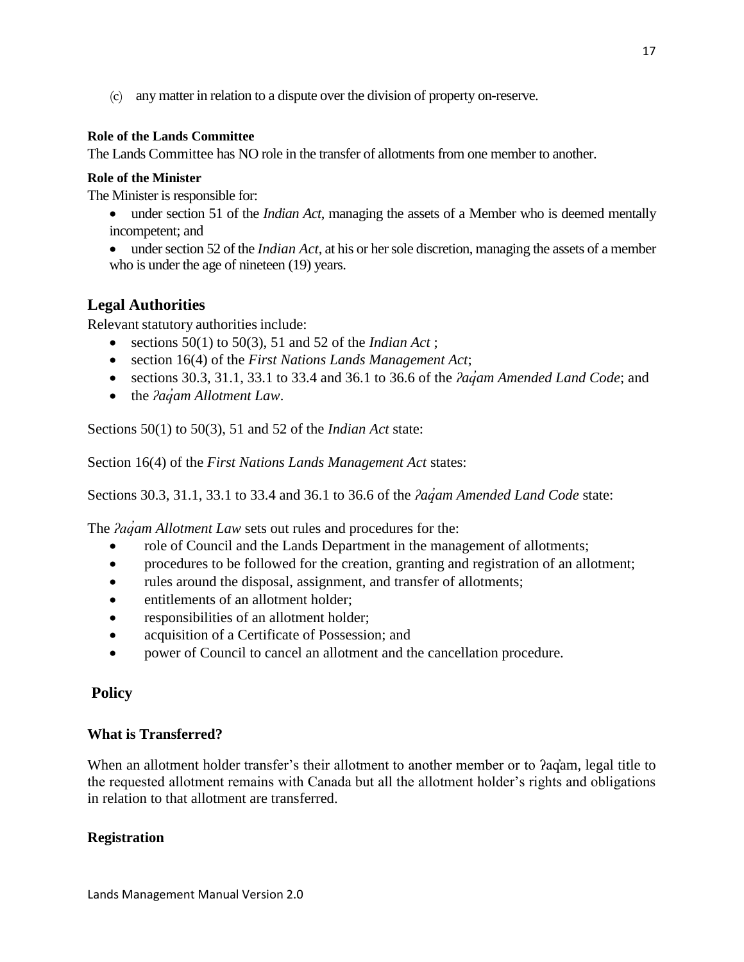(c) any matter in relation to a dispute over the division of property on-reserve.

#### **Role of the Lands Committee**

The Lands Committee has NO role in the transfer of allotments from one member to another.

#### **Role of the Minister**

The Minister is responsible for:

- under section 51 of the *Indian Act*, managing the assets of a Member who is deemed mentally incompetent; and
- under section 52 of the *Indian Act*, at his or her sole discretion, managing the assets of a member who is under the age of nineteen (19) years.

## <span id="page-16-0"></span>**Legal Authorities**

Relevant statutory authorities include:

- e sections  $50(1)$  to  $50(3)$ ,  $51$  and  $52$  of the *Indian Act*;
- section 16(4) of the *First Nations Lands Management Act*;
- sections 30.3, 31.1, 33.1 to 33.4 and 36.1 to 36.6 of the *ʔaq̓am Amended Land Code*; and
- the *Pagam Allotment Law*.

Sections 50(1) to 50(3), 51 and 52 of the *Indian Act* state:

Section 16(4) of the *First Nations Lands Management Act* states:

Sections 30.3, 31.1, 33.1 to 33.4 and 36.1 to 36.6 of the *ʔaq̓am Amended Land Code* state:

The *ʔaq̓am Allotment Law* sets out rules and procedures for the:

- role of Council and the Lands Department in the management of allotments;
- procedures to be followed for the creation, granting and registration of an allotment;
- rules around the disposal, assignment, and transfer of allotments;
- entitlements of an allotment holder;
- responsibilities of an allotment holder;
- acquisition of a Certificate of Possession; and
- power of Council to cancel an allotment and the cancellation procedure.

#### <span id="page-16-1"></span>**Policy**

#### **What is Transferred?**

When an allotment holder transfer's their allotment to another member or to ?aq'am, legal title to the requested allotment remains with Canada but all the allotment holder's rights and obligations in relation to that allotment are transferred.

#### **Registration**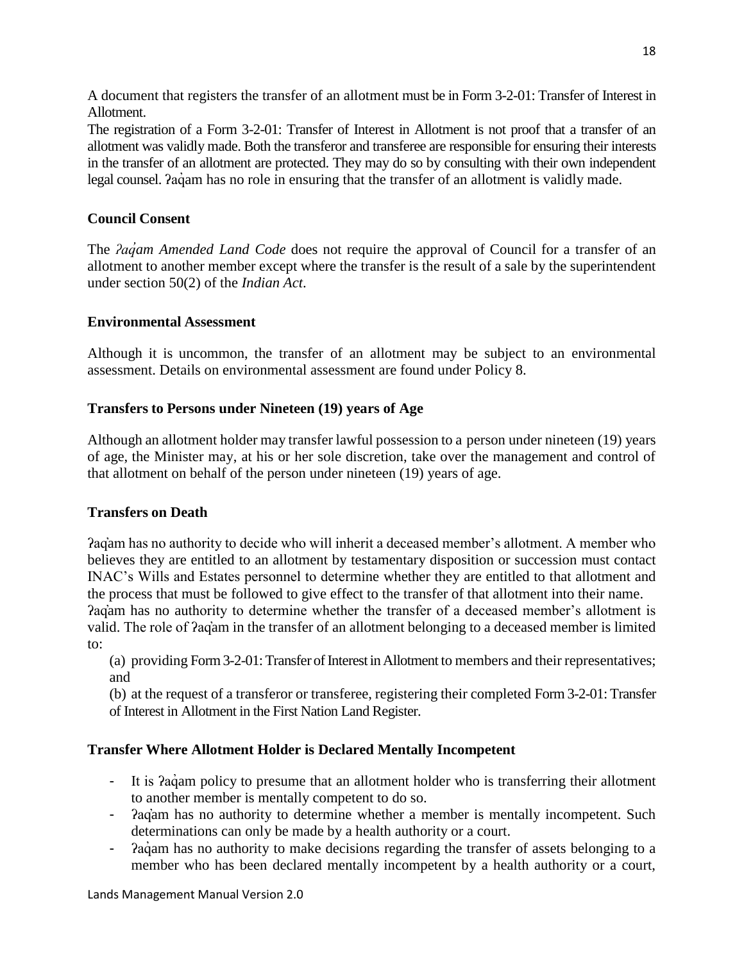A document that registers the transfer of an allotment must be in Form 3-2-01: Transfer of Interest in Allotment.

The registration of a Form 3-2-01: Transfer of Interest in Allotment is not proof that a transfer of an allotment was validly made. Both the transferor and transferee are responsible for ensuring their interests in the transfer of an allotment are protected. They may do so by consulting with their own independent legal counsel.  $2a\dot{q}$  am has no role in ensuring that the transfer of an allotment is validly made.

## **Council Consent**

The *ʔaq̓am Amended Land Code* does not require the approval of Council for a transfer of an allotment to another member except where the transfer is the result of a sale by the superintendent under section 50(2) of the *Indian Act*.

## **Environmental Assessment**

Although it is uncommon, the transfer of an allotment may be subject to an environmental assessment. Details on environmental assessment are found under Policy 8.

## **Transfers to Persons under Nineteen (19) years of Age**

Although an allotment holder may transfer lawful possession to a person under nineteen (19) years of age, the Minister may, at his or her sole discretion, take over the management and control of that allotment on behalf of the person under nineteen (19) years of age.

## **Transfers on Death**

ʔaq̓am has no authority to decide who will inherit a deceased member's allotment. A member who believes they are entitled to an allotment by testamentary disposition or succession must contact INAC's Wills and Estates personnel to determine whether they are entitled to that allotment and the process that must be followed to give effect to the transfer of that allotment into their name.

ʔaq̓am has no authority to determine whether the transfer of a deceased member's allotment is valid. The role of ʔaq̓am in the transfer of an allotment belonging to a deceased member is limited to:

(a) providing Form 3-2-01: Transfer of Interest in Allotment to members and their representatives; and

(b) at the request of a transferor or transferee, registering their completed Form 3-2-01: Transfer of Interest in Allotment in the First Nation Land Register.

## **Transfer Where Allotment Holder is Declared Mentally Incompetent**

- It is  $2aq<sub>am</sub>$  policy to presume that an allotment holder who is transferring their allotment to another member is mentally competent to do so.
- $a$ <sup>a</sup>  $a$ <sup>a</sup>  $a$  has no authority to determine whether a member is mentally incompetent. Such determinations can only be made by a health authority or a court.
- Pagam has no authority to make decisions regarding the transfer of assets belonging to a member who has been declared mentally incompetent by a health authority or a court,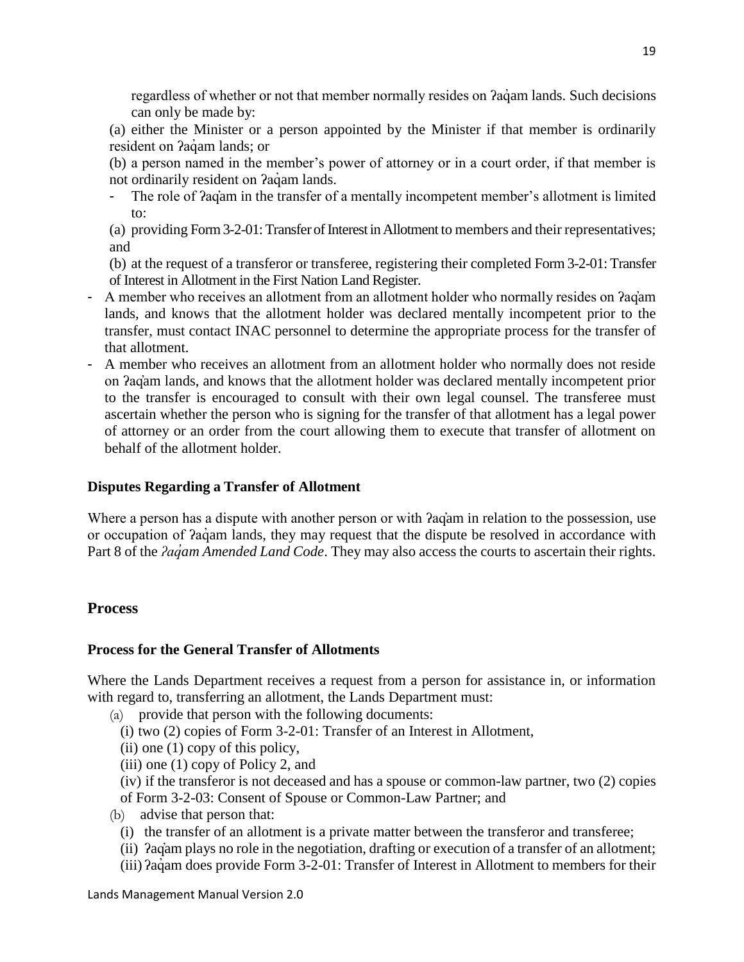regardless of whether or not that member normally resides on *?agam lands*. Such decisions can only be made by:

(a) either the Minister or a person appointed by the Minister if that member is ordinarily resident on *?agam lands*; or

(b) a person named in the member's power of attorney or in a court order, if that member is not ordinarily resident on *Paq*am lands.

- The role of  $2aq<sub>î</sub>$  in the transfer of a mentally incompetent member's allotment is limited to:
- (a) providing Form 3-2-01: Transfer of Interest in Allotment to members and their representatives; and

(b) at the request of a transferor or transferee, registering their completed Form 3-2-01: Transfer of Interest in Allotment in the First Nation Land Register.

- A member who receives an allotment from an allotment holder who normally resides on *Pagam* lands, and knows that the allotment holder was declared mentally incompetent prior to the transfer, must contact INAC personnel to determine the appropriate process for the transfer of that allotment.
- A member who receives an allotment from an allotment holder who normally does not reside on ʔaq̓am lands, and knows that the allotment holder was declared mentally incompetent prior to the transfer is encouraged to consult with their own legal counsel. The transferee must ascertain whether the person who is signing for the transfer of that allotment has a legal power of attorney or an order from the court allowing them to execute that transfer of allotment on behalf of the allotment holder.

## **Disputes Regarding a Transfer of Allotment**

Where a person has a dispute with another person or with  $2q$  am in relation to the possession, use or occupation of  $2a\dot{q}$  am lands, they may request that the dispute be resolved in accordance with Part 8 of the *ʔaq̓am Amended Land Code*. They may also access the courts to ascertain their rights.

## <span id="page-18-0"></span>**Process**

## **Process for the General Transfer of Allotments**

Where the Lands Department receives a request from a person for assistance in, or information with regard to, transferring an allotment, the Lands Department must:

- (a) provide that person with the following documents:
	- (i) two (2) copies of Form 3-2-01: Transfer of an Interest in Allotment,
	- (ii) one (1) copy of this policy,
	- (iii) one (1) copy of Policy 2, and
	- (iv) if the transferor is not deceased and has a spouse or common-law partner, two (2) copies
- of Form 3-2-03: Consent of Spouse or Common-Law Partner; and
- (b) advise that person that:
	- (i) the transfer of an allotment is a private matter between the transferor and transferee;
	- (ii) *Pag*<sup>a</sup>m plays no role in the negotiation, drafting or execution of a transfer of an allotment;
	- (iii) ʔaq̓ am does provide Form 3-2-01: Transfer of Interest in Allotment to members for their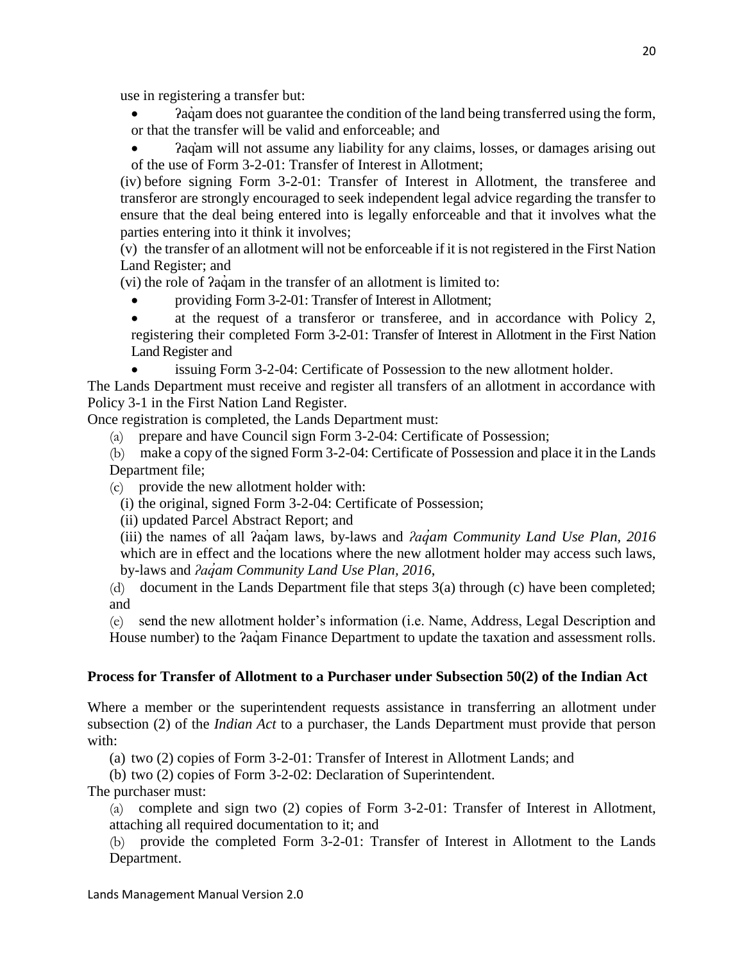use in registering a transfer but:

- Paquare am does not guarantee the condition of the land being transferred using the form, or that the transfer will be valid and enforceable; and
- ʔaq̓am will not assume any liability for any claims, losses, or damages arising out of the use of Form 3-2-01: Transfer of Interest in Allotment;

(iv) before signing Form 3-2-01: Transfer of Interest in Allotment, the transferee and transferor are strongly encouraged to seek independent legal advice regarding the transfer to ensure that the deal being entered into is legally enforceable and that it involves what the parties entering into it think it involves;

(v) the transfer of an allotment will not be enforceable if it is not registered in the First Nation Land Register; and

(vi) the role of  $2a\ddot{q}$  am in the transfer of an allotment is limited to:

providing Form 3-2-01: Transfer of Interest in Allotment;

 at the request of a transferor or transferee, and in accordance with Policy 2, registering their completed Form 3-2-01: Transfer of Interest in Allotment in the First Nation Land Register and

issuing Form 3-2-04: Certificate of Possession to the new allotment holder.

The Lands Department must receive and register all transfers of an allotment in accordance with Policy 3-1 in the First Nation Land Register.

Once registration is completed, the Lands Department must:

(a) prepare and have Council sign Form 3-2-04: Certificate of Possession;

(b) make a copy of the signed Form 3-2-04: Certificate of Possession and place it in the Lands Department file;

- (c) provide the new allotment holder with:
	- (i) the original, signed Form 3-2-04: Certificate of Possession;

(ii) updated Parcel Abstract Report; and

(iii) the names of all ʔaq̓ am laws, by-laws and *ʔaq̓am Community Land Use Plan, 2016* which are in effect and the locations where the new allotment holder may access such laws, by-laws and *ʔaq̓am Community Land Use Plan, 2016*,

(d) document in the Lands Department file that steps 3(a) through (c) have been completed; and

(e) send the new allotment holder's information (i.e. Name, Address, Legal Description and House number) to the  $2a\ddot{a}$  am Finance Department to update the taxation and assessment rolls.

## **Process for Transfer of Allotment to a Purchaser under Subsection 50(2) of the Indian Act**

Where a member or the superintendent requests assistance in transferring an allotment under subsection (2) of the *Indian Act* to a purchaser, the Lands Department must provide that person with:

(a) two (2) copies of Form 3-2-01: Transfer of Interest in Allotment Lands; and

(b) two (2) copies of Form 3-2-02: Declaration of Superintendent.

The purchaser must:

(a) complete and sign two (2) copies of Form 3-2-01: Transfer of Interest in Allotment, attaching all required documentation to it; and

(b) provide the completed Form 3-2-01: Transfer of Interest in Allotment to the Lands Department.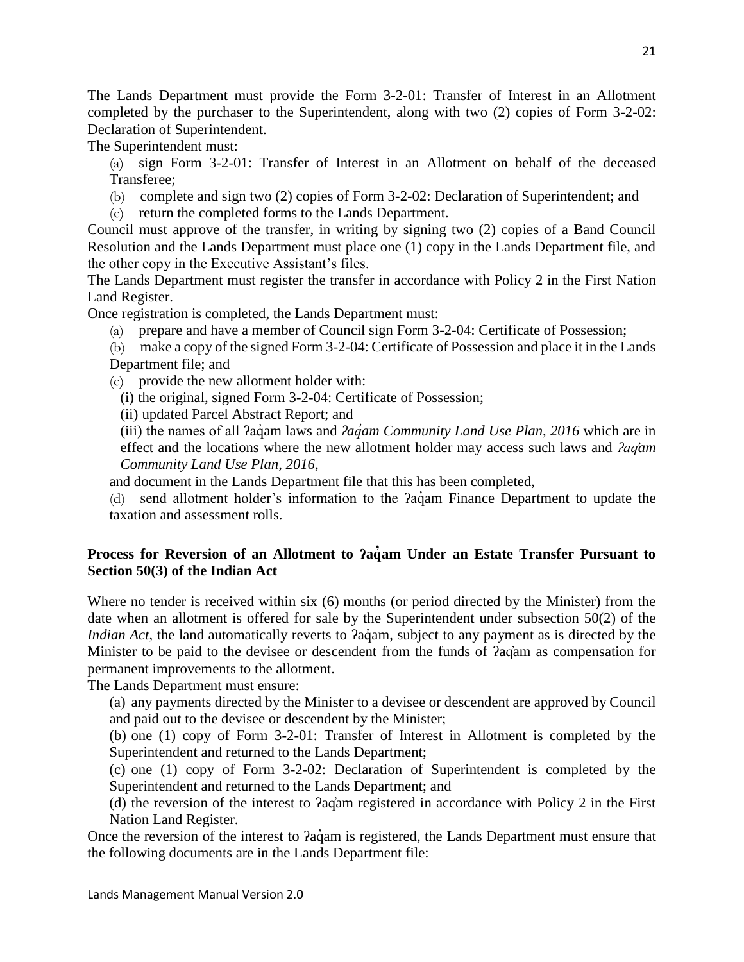The Lands Department must provide the Form 3-2-01: Transfer of Interest in an Allotment completed by the purchaser to the Superintendent, along with two (2) copies of Form 3-2-02: Declaration of Superintendent.

The Superintendent must:

(a) sign Form 3-2-01: Transfer of Interest in an Allotment on behalf of the deceased Transferee;

- (b) complete and sign two (2) copies of Form 3-2-02: Declaration of Superintendent; and
- (c) return the completed forms to the Lands Department.

Council must approve of the transfer, in writing by signing two (2) copies of a Band Council Resolution and the Lands Department must place one (1) copy in the Lands Department file, and the other copy in the Executive Assistant's files.

The Lands Department must register the transfer in accordance with Policy 2 in the First Nation Land Register.

Once registration is completed, the Lands Department must:

(a) prepare and have a member of Council sign Form 3-2-04: Certificate of Possession;

(b) make a copy of the signed Form 3-2-04: Certificate of Possession and place it in the Lands Department file; and

(c) provide the new allotment holder with:

(i) the original, signed Form 3-2-04: Certificate of Possession;

(ii) updated Parcel Abstract Report; and

(iii) the names of all ʔaq̓ am laws and *ʔaq̓am Community Land Use Plan, 2016* which are in effect and the locations where the new allotment holder may access such laws and *ʔaq̓am Community Land Use Plan, 2016*,

and document in the Lands Department file that this has been completed,

(d) send allotment holder's information to the *Paq*uam Finance Department to update the taxation and assessment rolls.

## **Process for Reversion of an Allotment to ʔaq̓am Under an Estate Transfer Pursuant to Section 50(3) of the Indian Act**

Where no tender is received within six (6) months (or period directed by the Minister) from the date when an allotment is offered for sale by the Superintendent under subsection 50(2) of the *Indian Act*, the land automatically reverts to *Pagam*, subject to any payment as is directed by the Minister to be paid to the devisee or descendent from the funds of  $2qq$  am as compensation for permanent improvements to the allotment.

The Lands Department must ensure:

(a) any payments directed by the Minister to a devisee or descendent are approved by Council and paid out to the devisee or descendent by the Minister;

(b) one (1) copy of Form 3-2-01: Transfer of Interest in Allotment is completed by the Superintendent and returned to the Lands Department;

(c) one (1) copy of Form 3-2-02: Declaration of Superintendent is completed by the Superintendent and returned to the Lands Department; and

(d) the reversion of the interest to ʔaq̓am registered in accordance with Policy 2 in the First Nation Land Register.

Once the reversion of the interest to *Pagam* is registered, the Lands Department must ensure that the following documents are in the Lands Department file: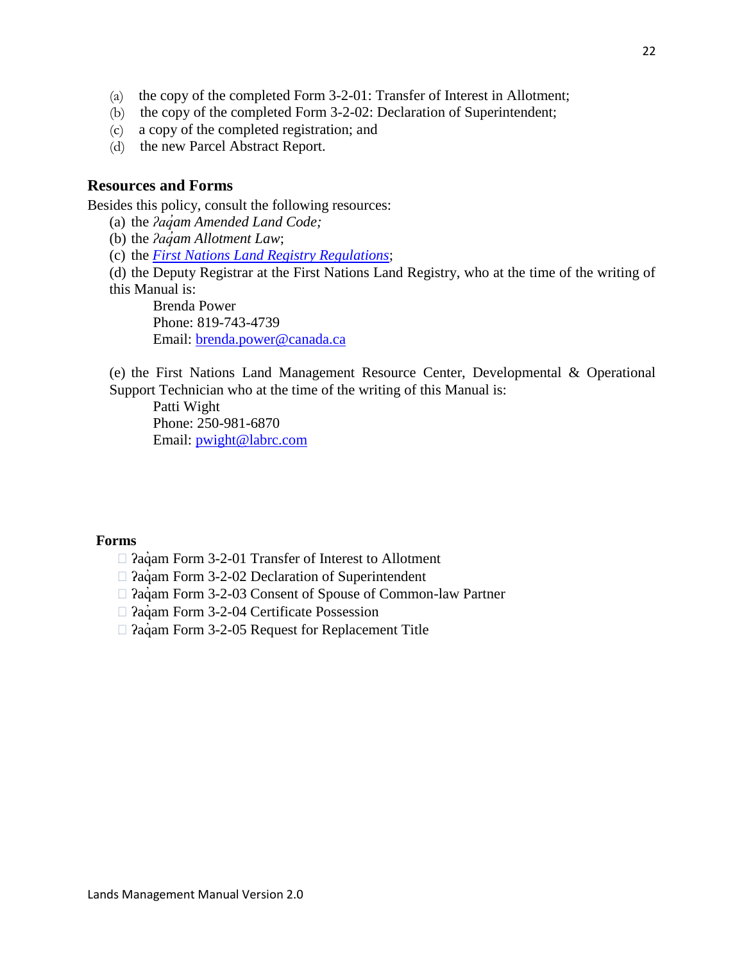- (a) the copy of the completed Form 3-2-01: Transfer of Interest in Allotment;
- (b) the copy of the completed Form 3-2-02: Declaration of Superintendent;
- (c) a copy of the completed registration; and
- (d) the new Parcel Abstract Report.

#### <span id="page-21-0"></span>**Resources and Forms**

Besides this policy, consult the following resources:

- (a) the *ʔaq̓am Amended Land Code;*
- (b) the *ʔaq̓am Allotment Law*;
- (c) the *[First Nations Land Registry Regulations](https://laws-lois.justice.gc.ca/eng/regulations/SOR-2007-231/index.html)*;
- (d) the Deputy Registrar at the First Nations Land Registry, who at the time of the writing of this Manual is:

Brenda Power Phone: 819-743-4739 Email: [brenda.power@canada.ca](mailto:brenda.power@canada.ca)

(e) the First Nations Land Management Resource Center, Developmental & Operational Support Technician who at the time of the writing of this Manual is:

Patti Wight

Phone: 250-981-6870 Email: [pwight@labrc.com](mailto:pwight@labrc.com) 

#### **Forms**

- $\Box$  ?a $\dot{q}$ am Form 3-2-01 Transfer of Interest to Allotment
- $\Box$  ?a $\dot{q}$ am Form 3-2-02 Declaration of Superintendent
- $\Box$  ?a $\dot{q}$ am Form 3-2-03 Consent of Spouse of Common-law Partner
- $\Box$  ?aq'am Form 3-2-04 Certificate Possession
- $\Box$  ?a $\dot{q}$ am Form 3-2-05 Request for Replacement Title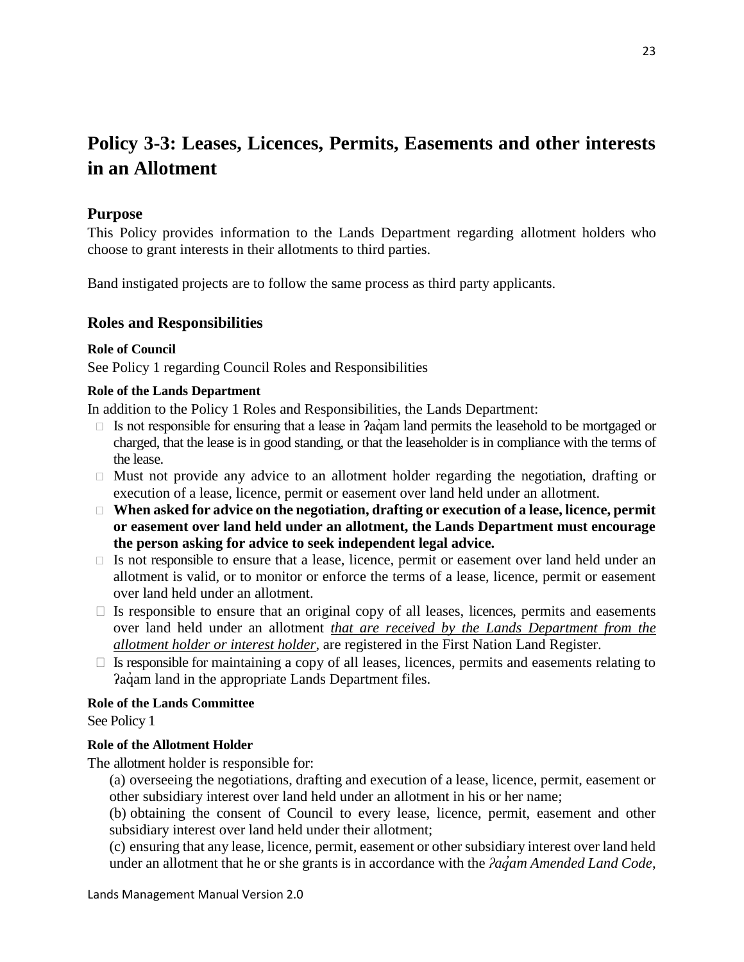# <span id="page-22-0"></span>**Policy 3-3: Leases, Licences, Permits, Easements and other interests in an Allotment**

## <span id="page-22-1"></span>**Purpose**

This Policy provides information to the Lands Department regarding allotment holders who choose to grant interests in their allotments to third parties.

<span id="page-22-2"></span>Band instigated projects are to follow the same process as third party applicants.

## **Roles and Responsibilities**

#### **Role of Council**

See Policy 1 regarding Council Roles and Responsibilities

#### **Role of the Lands Department**

In addition to the Policy 1 Roles and Responsibilities, the Lands Department:

- $\Box$  Is not responsible for ensuring that a lease in  $2a\alpha$  am land permits the leasehold to be mortgaged or charged, that the lease is in good standing, or that the leaseholder is in compliance with the terms of the lease.
- $\Box$  Must not provide any advice to an allotment holder regarding the negotiation, drafting or execution of a lease, licence, permit or easement over land held under an allotment.
- □ When asked for advice on the negotiation, drafting or execution of a lease, licence, permit **or easement over land held under an allotment, the Lands Department must encourage the person asking for advice to seek independent legal advice.**
- $\Box$  Is not responsible to ensure that a lease, licence, permit or easement over land held under an allotment is valid, or to monitor or enforce the terms of a lease, licence, permit or easement over land held under an allotment.
- $\Box$  Is responsible to ensure that an original copy of all leases, licences, permits and easements over land held under an allotment *that are received by the Lands Department from the allotment holder or interest holder*, are registered in the First Nation Land Register.
- $\Box$  Is responsible for maintaining a copy of all leases, licences, permits and easements relating to Paqam land in the appropriate Lands Department files.

#### **Role of the Lands Committee**

See Policy 1

#### **Role of the Allotment Holder**

The allotment holder is responsible for:

(a) overseeing the negotiations, drafting and execution of a lease, licence, permit, easement or other subsidiary interest over land held under an allotment in his or her name;

(b) obtaining the consent of Council to every lease, licence, permit, easement and other subsidiary interest over land held under their allotment;

(c) ensuring that any lease, licence, permit, easement or other subsidiary interest over land held under an allotment that he or she grants is in accordance with the *ʔaq̓am Amended Land Code*,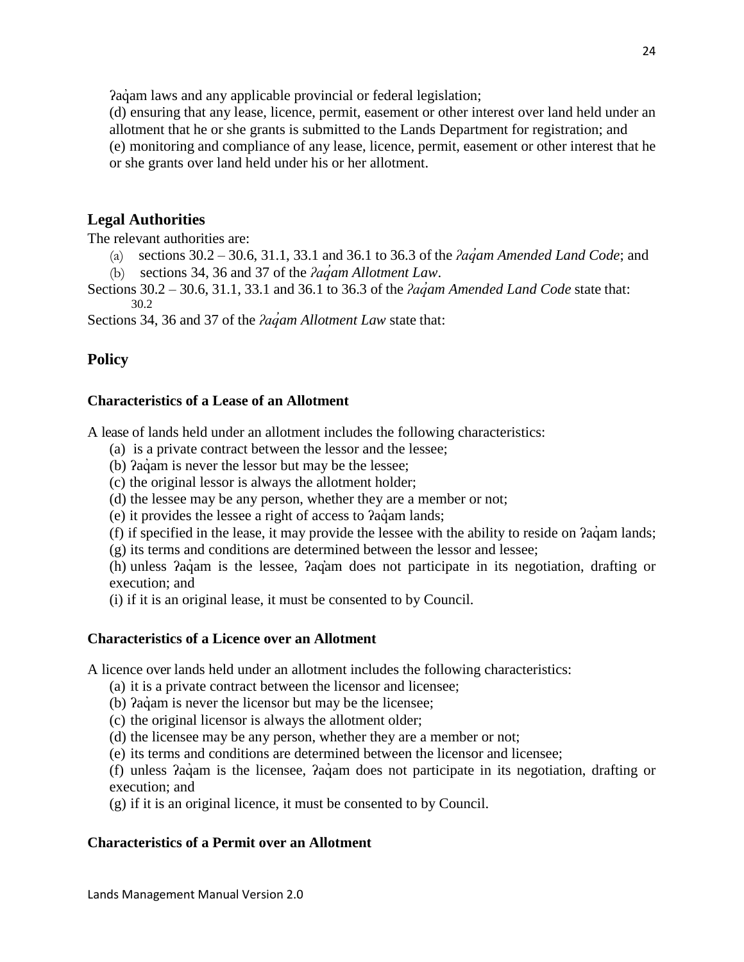Pagam laws and any applicable provincial or federal legislation;

(d) ensuring that any lease, licence, permit, easement or other interest over land held under an allotment that he or she grants is submitted to the Lands Department for registration; and (e) monitoring and compliance of any lease, licence, permit, easement or other interest that he or she grants over land held under his or her allotment.

## <span id="page-23-0"></span>**Legal Authorities**

The relevant authorities are:

- (a) sections 30.2 30.6, 31.1, 33.1 and 36.1 to 36.3 of the *ʔaq̓am Amended Land Code*; and
- (b) sections 34, 36 and 37 of the *ʔaq̓am Allotment Law*.

Sections 30.2 – 30.6, 31.1, 33.1 and 36.1 to 36.3 of the *ʔaq̓am Amended Land Code* state that: 30.2

<span id="page-23-1"></span>Sections 34, 36 and 37 of the *ʔaq̓am Allotment Law* state that:

## **Policy**

## **Characteristics of a Lease of an Allotment**

A lease of lands held under an allotment includes the following characteristics:

- (a) is a private contract between the lessor and the lessee;
- (b)  $aq$ aqi is never the lessor but may be the lessee;
- (c) the original lessor is always the allotment holder;
- (d) the lessee may be any person, whether they are a member or not;
- (e) it provides the lessee a right of access to *Pagam lands*;
- (f) if specified in the lease, it may provide the lessee with the ability to reside on  $2a\ddot{q}$  am lands;
- (g) its terms and conditions are determined between the lessor and lessee;

(h) unless ʔaq̓ am is the lessee, ʔaq̓am does not participate in its negotiation, drafting or execution; and

(i) if it is an original lease, it must be consented to by Council.

## **Characteristics of a Licence over an Allotment**

A licence over lands held under an allotment includes the following characteristics:

- (a) it is a private contract between the licensor and licensee;
- (b)  $2a\dot{q}$  am is never the licensor but may be the licensee;
- (c) the original licensor is always the allotment older;
- (d) the licensee may be any person, whether they are a member or not;
- (e) its terms and conditions are determined between the licensor and licensee;

(f) unless ʔaq̓ am is the licensee, ʔaq̓ am does not participate in its negotiation, drafting or execution; and

(g) if it is an original licence, it must be consented to by Council.

## **Characteristics of a Permit over an Allotment**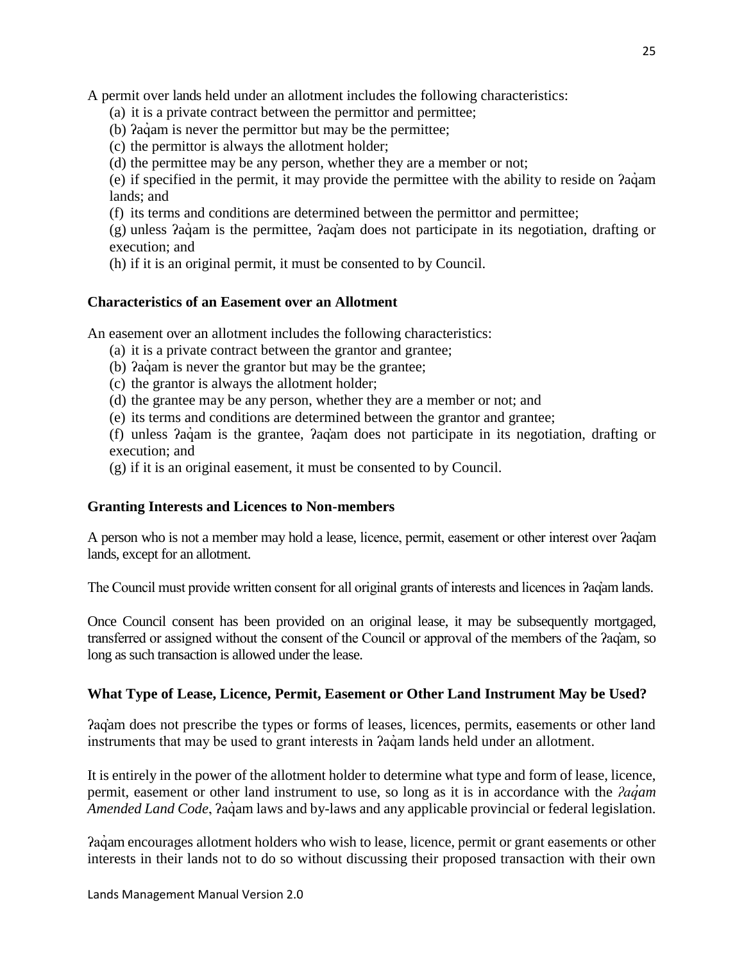A permit over lands held under an allotment includes the following characteristics:

- (a) it is a private contract between the permittor and permittee;
- (b)  $2a\dot{q}$  am is never the permittor but may be the permittee;
- (c) the permittor is always the allotment holder;
- (d) the permittee may be any person, whether they are a member or not;

(e) if specified in the permit, it may provide the permittee with the ability to reside on ʔaq̓ am lands; and

(f) its terms and conditions are determined between the permittor and permittee;

(g) unless ʔaq̓ am is the permittee, ʔaq̓am does not participate in its negotiation, drafting or execution; and

(h) if it is an original permit, it must be consented to by Council.

## **Characteristics of an Easement over an Allotment**

An easement over an allotment includes the following characteristics:

- (a) it is a private contract between the grantor and grantee;
- (b)  $2a\dot{q}$  am is never the grantor but may be the grantee;
- (c) the grantor is always the allotment holder;
- (d) the grantee may be any person, whether they are a member or not; and
- (e) its terms and conditions are determined between the grantor and grantee;

(f) unless ʔaq̓ am is the grantee, ʔaq̓am does not participate in its negotiation, drafting or execution; and

(g) if it is an original easement, it must be consented to by Council.

## **Granting Interests and Licences to Non-members**

A person who is not a member may hold a lease, licence, permit, easement or other interest over ʔaq̓am lands, except for an allotment.

The Council must provide written consent for all original grants of interests and licences in ʔaq̓am lands.

Once Council consent has been provided on an original lease, it may be subsequently mortgaged, transferred or assigned without the consent of the Council or approval of the members of the ʔaq̓am, so long as such transaction is allowed under the lease.

## **What Type of Lease, Licence, Permit, Easement or Other Land Instrument May be Used?**

ʔaq̓am does not prescribe the types or forms of leases, licences, permits, easements or other land instruments that may be used to grant interests in  $aq$ <sup>a</sup> am lands held under an allotment.

It is entirely in the power of the allotment holder to determine what type and form of lease, licence, permit, easement or other land instrument to use, so long as it is in accordance with the *ʔaq̓am Amended Land Code*,  $2a\ddot{q}$ am laws and by-laws and any applicable provincial or federal legislation.

ʔaq̓ am encourages allotment holders who wish to lease, licence, permit or grant easements or other interests in their lands not to do so without discussing their proposed transaction with their own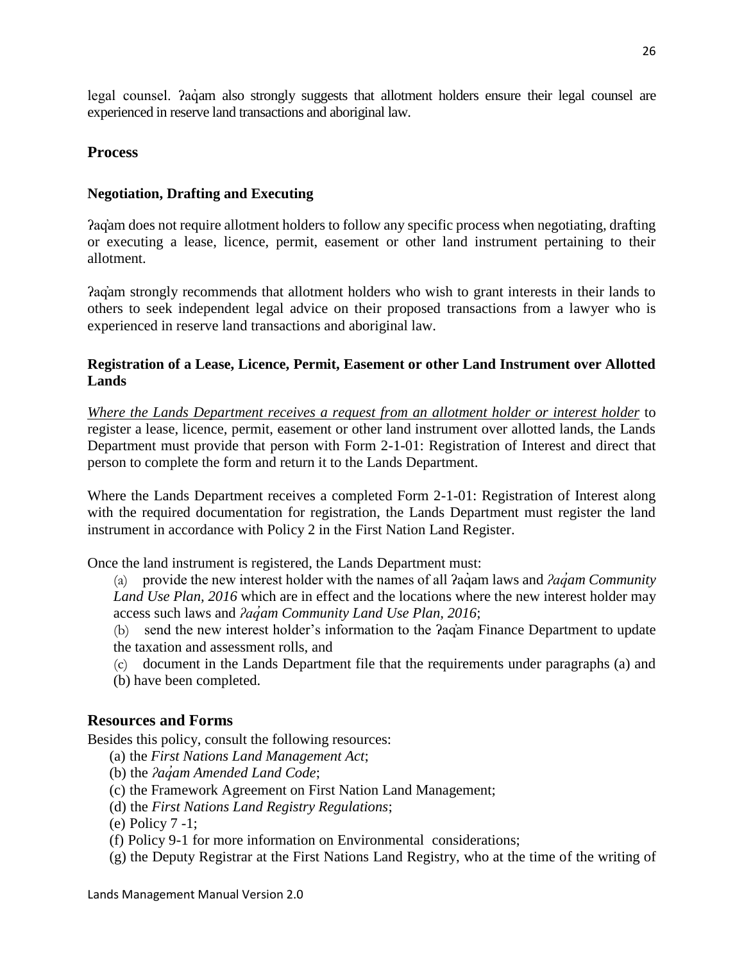legal counsel. *Pagam also strongly suggests that allotment holders ensure their legal counsel are* experienced in reserve land transactions and aboriginal law.

## <span id="page-25-0"></span>**Process**

## **Negotiation, Drafting and Executing**

ʔaq̓am does not require allotment holders to follow any specific process when negotiating, drafting or executing a lease, licence, permit, easement or other land instrument pertaining to their allotment.

ʔaq̓am strongly recommends that allotment holders who wish to grant interests in their lands to others to seek independent legal advice on their proposed transactions from a lawyer who is experienced in reserve land transactions and aboriginal law.

## **Registration of a Lease, Licence, Permit, Easement or other Land Instrument over Allotted Lands**

*Where the Lands Department receives a request from an allotment holder or interest holder* to register a lease, licence, permit, easement or other land instrument over allotted lands, the Lands Department must provide that person with Form 2-1-01: Registration of Interest and direct that person to complete the form and return it to the Lands Department.

Where the Lands Department receives a completed Form 2-1-01: Registration of Interest along with the required documentation for registration, the Lands Department must register the land instrument in accordance with Policy 2 in the First Nation Land Register.

Once the land instrument is registered, the Lands Department must:

(a) provide the new interest holder with the names of all ʔaq̓ am laws and *ʔaq̓am Community Land Use Plan, 2016* which are in effect and the locations where the new interest holder may access such laws and *ʔaq̓am Community Land Use Plan, 2016*;

(b) send the new interest holder's information to the ʔaq̓am Finance Department to update the taxation and assessment rolls, and

(c) document in the Lands Department file that the requirements under paragraphs (a) and (b) have been completed.

## <span id="page-25-1"></span>**Resources and Forms**

Besides this policy, consult the following resources:

- (a) the *First Nations Land Management Act*;
- (b) the *ʔaq̓am Amended Land Code*;
- (c) the Framework Agreement on First Nation Land Management;
- (d) the *First Nations Land Registry Regulations*;

(e) Policy 7 -1;

- (f) Policy 9-1 for more information on Environmental considerations;
- (g) the Deputy Registrar at the First Nations Land Registry, who at the time of the writing of